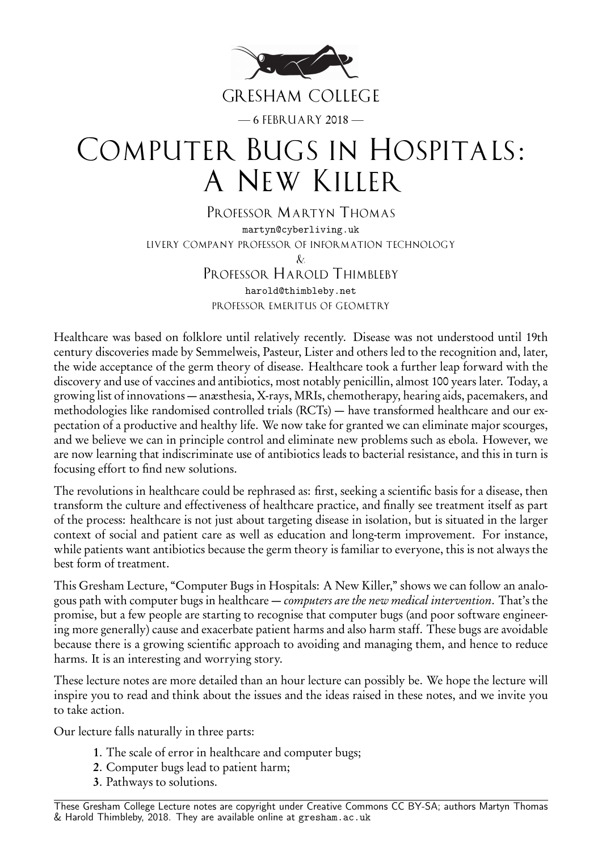

# COMPUTER BUGS IN HOSPITALS: A NEW KILLER

PROFESSOR MARTYN THOMAS martyn@cyberliving.uk LIVERY COMPANY PROFESSOR OF INFORMATION TECHNOLOGY  $\&$ PROFESSOR HAROLD THIMBLEBY harold@thimbleby.net PROFESSOR EMERITUS OF GEOMETRY

Healthcare was based on folklore until relatively recently. Disease was not understood until 19th century discoveries made by Semmelweis, Pasteur, Lister and others led to the recognition and, later, the wide acceptance of the germ theory of disease. Healthcare took a further leap forward with the discovery and use of vaccines and antibiotics, most notably penicillin, almost 100 years later. Today, a growing list of innovations — anæsthesia, X-rays, MRIs, chemotherapy, hearing aids, pacemakers, and methodologies like randomised controlled trials (RCTs) — have transformed healthcare and our expectation of a productive and healthy life. We now take for granted we can eliminate major scourges, and we believe we can in principle control and eliminate new problems such as ebola. However, we are now learning that indiscriminate use of antibiotics leads to bacterial resistance, and this in turn is focusing effort to find new solutions.

The revolutions in healthcare could be rephrased as: first, seeking a scientific basis for a disease, then transform the culture and effectiveness of healthcare practice, and finally see treatment itself as part of the process: healthcare is not just about targeting disease in isolation, but is situated in the larger context of social and patient care as well as education and long-term improvement. For instance, while patients want antibiotics because the germ theory is familiar to everyone, this is not always the best form of treatment.

This Gresham Lecture, "Computer Bugs in Hospitals: A New Killer," shows we can follow an analogous path with computer bugs in healthcare — *computers are the new medical intervention*. That's the promise, but a few people are starting to recognise that computer bugs (and poor software engineering more generally) cause and exacerbate patient harms and also harm staff. These bugs are avoidable because there is a growing scientific approach to avoiding and managing them, and hence to reduce harms. It is an interesting and worrying story.

These lecture notes are more detailed than an hour lecture can possibly be. We hope the lecture will inspire you to read and think about the issues and the ideas raised in these notes, and we invite you to take action.

Our lecture falls naturally in three parts:

- 1. The scale of error in healthcare and computer bugs;
- 2. Computer bugs lead to patient harm;
- 3. Pathways to solutions.

These Gresham College Lecture notes are copyright under Creative Commons CC BY-SA; authors Martyn Thomas & Harold Thimbleby, 2018. They are available online at gresham.ac.uk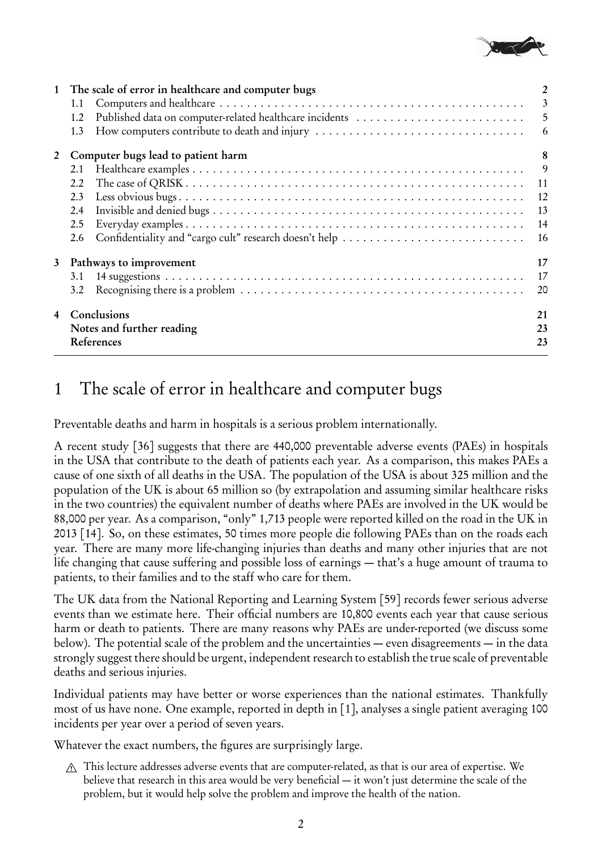

| 1 | The scale of error in healthcare and computer bugs<br>1.1<br>Published data on computer-related healthcare incidents<br>1.2<br>How computers contribute to death and injury<br>1.3 | 2<br>$\mathfrak{Z}$<br>5<br>$6\overline{6}$ |
|---|------------------------------------------------------------------------------------------------------------------------------------------------------------------------------------|---------------------------------------------|
| 2 | Computer bugs lead to patient harm<br>2.1<br>2.2<br>2.3<br>2.4<br>2.5<br>Confidentiality and "cargo cult" research doesn't help<br>2.6                                             | 8<br>9<br>12<br>13<br>14<br>16              |
| 3 | Pathways to improvement<br>3.1<br>3.2<br>Conclusions                                                                                                                               | 17<br>17<br>20<br>21                        |
|   | Notes and further reading<br>References                                                                                                                                            | 23<br>23                                    |

# 1 The scale of error in healthcare and computer bugs

Preventable deaths and harm in hospitals is a serious problem internationally.

A recent study [36] suggests that there are 440,000 preventable adverse events (PAEs) in hospitals in the USA that contribute to the death of patients each year. As a comparison, this makes PAEs a cause of one sixth of all deaths in the USA. The population of the USA is about 325 million and the population of the UK is about 65 million so (by extrapolation and assuming similar healthcare risks in the two countries) the equivalent number of deaths where PAEs are involved in the UK would be 88,000 per year. As a comparison, "only" 1,713 people were reported killed on the road in the UK in 2013 [14]. So, on these estimates, 50 times more people die following PAEs than on the roads each year. There are many more life-changing injuries than deaths and many other injuries that are not life changing that cause suffering and possible loss of earnings — that's a huge amount of trauma to patients, to their families and to the staff who care for them.

The UK data from the National Reporting and Learning System [59] records fewer serious adverse events than we estimate here. Their official numbers are 10,800 events each year that cause serious harm or death to patients. There are many reasons why PAEs are under-reported (we discuss some below). The potential scale of the problem and the uncertainties — even disagreements — in the data strongly suggest there should be urgent, independent research to establish the true scale of preventable deaths and serious injuries.

Individual patients may have better or worse experiences than the national estimates. Thankfully most of us have none. One example, reported in depth in [1], analyses a single patient averaging 100 incidents per year over a period of seven years.

Whatever the exact numbers, the figures are surprisingly large.

A This lecture addresses adverse events that are computer-related, as that is our area of expertise. We believe that research in this area would be very beneficial — it won't just determine the scale of the problem, but it would help solve the problem and improve the health of the nation.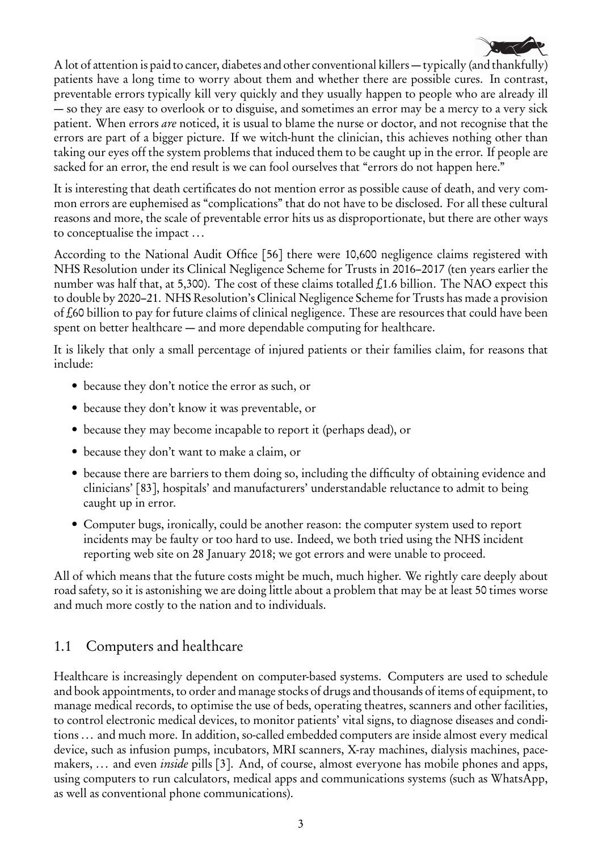

A lot of attention is paid to cancer, diabetes and other conventional killers — typically (and thankfully) patients have a long time to worry about them and whether there are possible cures. In contrast, preventable errors typically kill very quickly and they usually happen to people who are already ill — so they are easy to overlook or to disguise, and sometimes an error may be a mercy to a very sick patient. When errors are noticed, it is usual to blame the nurse or doctor, and not recognise that the errors are part of a bigger picture. If we witch-hunt the clinician, this achieves nothing other than taking our eyes off the system problems that induced them to be caught up in the error. If people are sacked for an error, the end result is we can fool ourselves that "errors do not happen here."

It is interesting that death certificates do not mention error as possible cause of death, and very common errors are euphemised as "complications" that do not have to be disclosed. For all these cultural reasons and more, the scale of preventable error hits us as disproportionate, but there are other ways to conceptualise the impact ...

According to the National Audit Office [56] there were 10,600 negligence claims registered with NHS Resolution under its Clinical Negligence Scheme for Trusts in 2016–2017 (ten years earlier the number was half that, at 5,300). The cost of these claims totalled  $f_1$ 1.6 billion. The NAO expect this to double by 2020–21. NHS Resolution's Clinical Negligence Scheme for Trusts has made a provision of £60 billion to pay for future claims of clinical negligence. These are resources that could have been spent on better healthcare — and more dependable computing for healthcare.

It is likely that only a small percentage of injured patients or their families claim, for reasons that include:

- because they don't notice the error as such, or
- because they don't know it was preventable, or
- because they may become incapable to report it (perhaps dead), or
- because they don't want to make a claim, or
- because there are barriers to them doing so, including the difficulty of obtaining evidence and clinicians' [83], hospitals' and manufacturers' understandable reluctance to admit to being caught up in error.
- Computer bugs, ironically, could be another reason: the computer system used to report incidents may be faulty or too hard to use. Indeed, we both tried using the NHS incident reporting web site on 28 January 2018; we got errors and were unable to proceed.

All of which means that the future costs might be much, much higher. We rightly care deeply about road safety, so it is astonishing we are doing little about a problem that may be at least 50 times worse and much more costly to the nation and to individuals.

## 1.1 Computers and healthcare

Healthcare is increasingly dependent on computer-based systems. Computers are used to schedule and book appointments, to order and manage stocks of drugs and thousands of items of equipment, to manage medical records, to optimise the use of beds, operating theatres, scanners and other facilities, to control electronic medical devices, to monitor patients' vital signs, to diagnose diseases and conditions ... and much more. In addition, so-called embedded computers are inside almost every medical device, such as infusion pumps, incubators, MRI scanners, X-ray machines, dialysis machines, pacemakers, ... and even *inside* pills [3]. And, of course, almost everyone has mobile phones and apps, using computers to run calculators, medical apps and communications systems (such as WhatsApp, as well as conventional phone communications).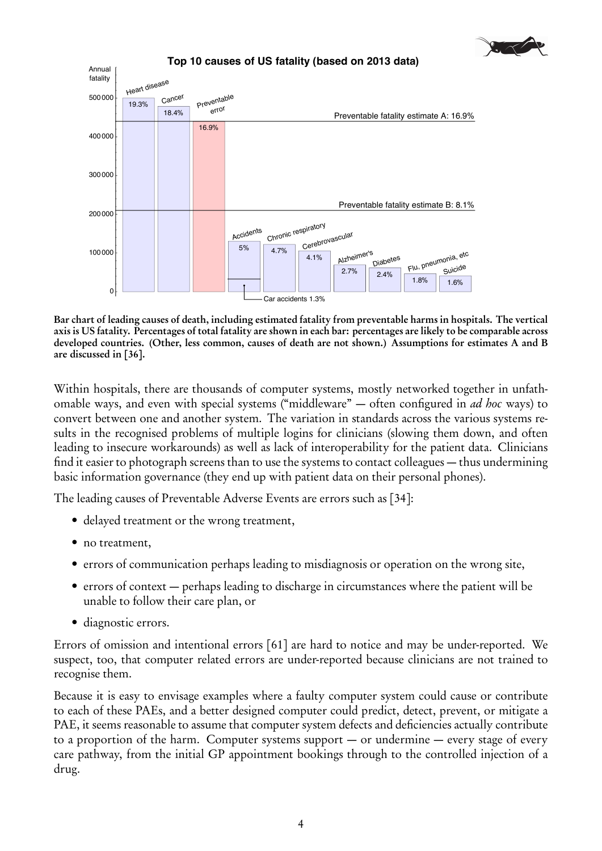



Bar chart of leading causes of death, including estimated fatality from preventable harms in hospitals. The vertical axis is US fatality. Percentages of total fatality are shown in each bar: percentages are likely to be comparable across developed countries. (Other, less common, causes of death are not shown.) Assumptions for estimates A and B are discussed in [36].

Within hospitals, there are thousands of computer systems, mostly networked together in unfathomable ways, and even with special systems ("middleware" – often configured in *ad hoc* ways) to convert between one and another system. The variation in standards across the various systems results in the recognised problems of multiple logins for clinicians (slowing them down, and often leading to insecure workarounds) as well as lack of interoperability for the patient data. Clinicians find it easier to photograph screens than to use the systems to contact colleagues — thus undermining basic information governance (they end up with patient data on their personal phones).

The leading causes of Preventable Adverse Events are errors such as [34]:

- · delayed treatment or the wrong treatment,
- no treatment,
- errors of communication perhaps leading to misdiagnosis or operation on the wrong site,
- errors of context perhaps leading to discharge in circumstances where the patient will be unable to follow their care plan, or
- · diagnostic errors.

Errors of omission and intentional errors [61] are hard to notice and may be under-reported. We suspect, too, that computer related errors are under-reported because clinicians are not trained to recognise them.

Because it is easy to envisage examples where a faulty computer system could cause or contribute to each of these PAEs, and a better designed computer could predict, detect, prevent, or mitigate a PAE, it seems reasonable to assume that computer system defects and deficiencies actually contribute to a proportion of the harm. Computer systems support  $-$  or undermine  $-$  every stage of every care pathway, from the initial GP appointment bookings through to the controlled injection of a drug.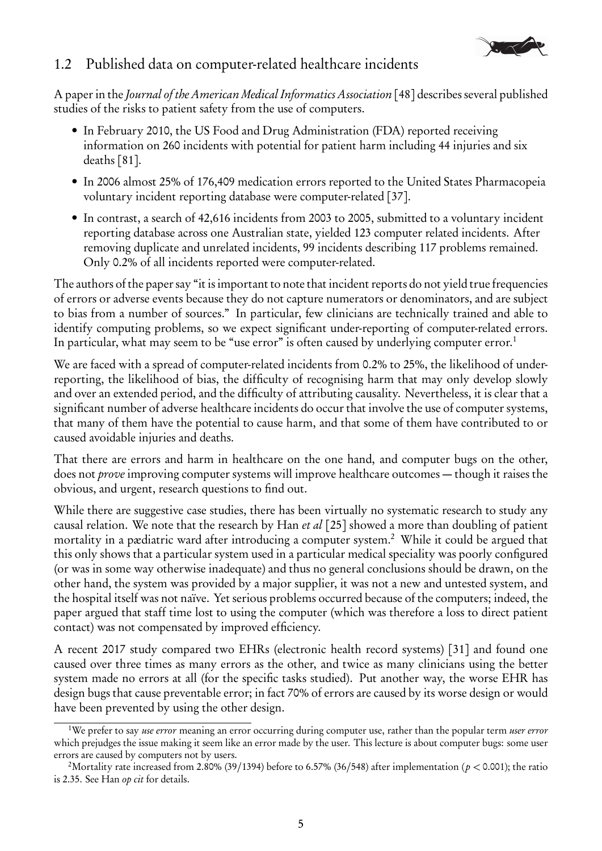

### 1.2 Published data on computer-related healthcare incidents

A paper in the Journal of the American Medical Informatics Association [48] describes several published studies of the risks to patient safety from the use of computers.

- In February 2010, the US Food and Drug Administration (FDA) reported receiving information on 260 incidents with potential for patient harm including 44 injuries and six deaths [81].
- In 2006 almost 25% of 176,409 medication errors reported to the United States Pharmacopeia voluntary incident reporting database were computer-related [37].
- In contrast, a search of 42,616 incidents from 2003 to 2005, submitted to a voluntary incident reporting database across one Australian state, yielded 123 computer related incidents. After removing duplicate and unrelated incidents, 99 incidents describing 117 problems remained. Only 0.2% of all incidents reported were computer-related.

The authors of the paper say "it is important to note that incident reports do not yield true frequencies of errors or adverse events because they do not capture numerators or denominators, and are subject to bias from a number of sources." In particular, few clinicians are technically trained and able to identify computing problems, so we expect significant under-reporting of computer-related errors. In particular, what may seem to be "use error" is often caused by underlying computer error.<sup>1</sup>

We are faced with a spread of computer-related incidents from 0.2% to 25%, the likelihood of underreporting, the likelihood of bias, the difficulty of recognising harm that may only develop slowly and over an extended period, and the difficulty of attributing causality. Nevertheless, it is clear that a significant number of adverse healthcare incidents do occur that involve the use of computer systems, that many of them have the potential to cause harm, and that some of them have contributed to or caused avoidable injuries and deaths.

That there are errors and harm in healthcare on the one hand, and computer bugs on the other, does not *prove* improving computer systems will improve healthcare outcomes — though it raises the obvious, and urgent, research questions to find out.

While there are suggestive case studies, there has been virtually no systematic research to study any causal relation. We note that the research by Han et al [25] showed a more than doubling of patient mortality in a pædiatric ward after introducing a computer system.<sup>2</sup> While it could be argued that this only shows that a particular system used in a particular medical speciality was poorly configured (or was in some way otherwise inadequate) and thus no general conclusions should be drawn, on the other hand, the system was provided by a major supplier, it was not a new and untested system, and the hospital itself was not naïve. Yet serious problems occurred because of the computers; indeed, the paper argued that staff time lost to using the computer (which was therefore a loss to direct patient contact) was not compensated by improved efficiency.

A recent 2017 study compared two EHRs (electronic health record systems) [31] and found one caused over three times as many errors as the other, and twice as many clinicians using the better system made no errors at all (for the specific tasks studied). Put another way, the worse EHR has design bugs that cause preventable error; in fact 70% of errors are caused by its worse design or would have been prevented by using the other design.

<sup>&</sup>lt;sup>1</sup>We prefer to say use error meaning an error occurring during computer use, rather than the popular term user error which prejudges the issue making it seem like an error made by the user. This lecture is about computer bugs: some user errors are caused by computers not by users.

<sup>&</sup>lt;sup>2</sup>Mortality rate increased from 2.80% (39/1394) before to 6.57% (36/548) after implementation ( $p < 0.001$ ); the ratio is 2.35. See Han op cit for details.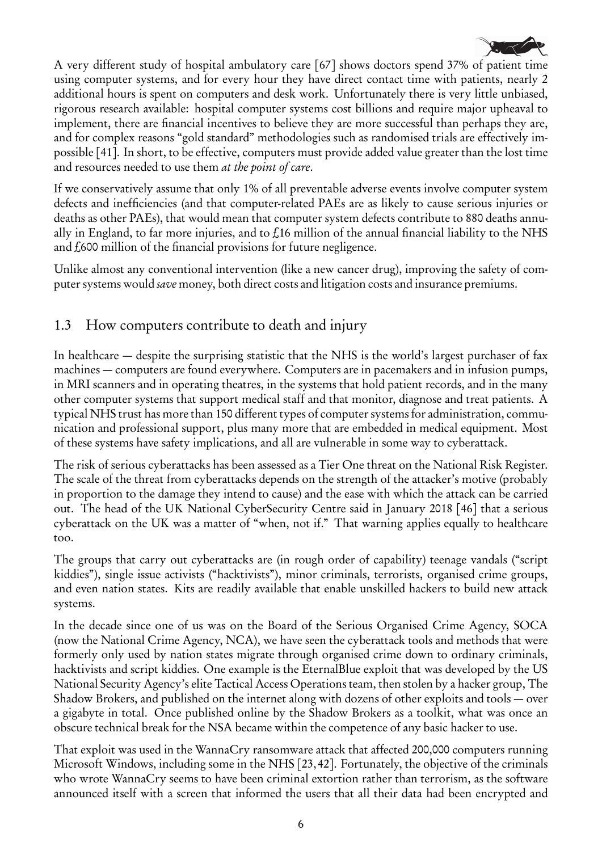

A very different study of hospital ambulatory care [67] shows doctors spend 37% of patient time using computer systems, and for every hour they have direct contact time with patients, nearly 2 additional hours is spent on computers and desk work. Unfortunately there is very little unbiased, rigorous research available: hospital computer systems cost billions and require major upheaval to implement, there are financial incentives to believe they are more successful than perhaps they are, and for complex reasons "gold standard" methodologies such as randomised trials are effectively impossible [41]. In short, to be effective, computers must provide added value greater than the lost time and resources needed to use them *at the point of care*.

If we conservatively assume that only 1% of all preventable adverse events involve computer system defects and inefficiencies (and that computer-related PAEs are as likely to cause serious injuries or deaths as other PAEs), that would mean that computer system defects contribute to 880 deaths annually in England, to far more injuries, and to  $f$ 16 million of the annual financial liability to the NHS and £600 million of the financial provisions for future negligence.

Unlike almost any conventional intervention (like a new cancer drug), improving the safety of computer systems would save money, both direct costs and litigation costs and insurance premiums.

## 1.3 How computers contribute to death and injury

In healthcare — despite the surprising statistic that the NHS is the world's largest purchaser of fax machines — computers are found everywhere. Computers are in pacemakers and in infusion pumps, in MRI scanners and in operating theatres, in the systems that hold patient records, and in the many other computer systems that support medical staff and that monitor, diagnose and treat patients. A typical NHS trust has more than 150 different types of computer systems for administration, communication and professional support, plus many more that are embedded in medical equipment. Most of these systems have safety implications, and all are vulnerable in some way to cyberattack.

The risk of serious cyberattacks has been assessed as a Tier One threat on the National Risk Register. The scale of the threat from cyberattacks depends on the strength of the attacker's motive (probably in proportion to the damage they intend to cause) and the ease with which the attack can be carried out. The head of the UK National CyberSecurity Centre said in January 2018 [46] that a serious cyberattack on the UK was a matter of "when, not if." That warning applies equally to healthcare too.

The groups that carry out cyberattacks are (in rough order of capability) teenage vandals ("script kiddies"), single issue activists ("hacktivists"), minor criminals, terrorists, organised crime groups, and even nation states. Kits are readily available that enable unskilled hackers to build new attack systems.

In the decade since one of us was on the Board of the Serious Organised Crime Agency, SOCA (now the National Crime Agency, NCA), we have seen the cyberattack tools and methods that were formerly only used by nation states migrate through organised crime down to ordinary criminals, hacktivists and script kiddies. One example is the EternalBlue exploit that was developed by the US National Security Agency's elite Tactical Access Operations team, then stolen by a hacker group, The Shadow Brokers, and published on the internet along with dozens of other exploits and tools — over a gigabyte in total. Once published online by the Shadow Brokers as a toolkit, what was once an obscure technical break for the NSA became within the competence of any basic hacker to use.

That exploit was used in the WannaCry ransomware attack that affected 200,000 computers running Microsoft Windows, including some in the NHS [23,42]. Fortunately, the objective of the criminals who wrote WannaCry seems to have been criminal extortion rather than terrorism, as the software announced itself with a screen that informed the users that all their data had been encrypted and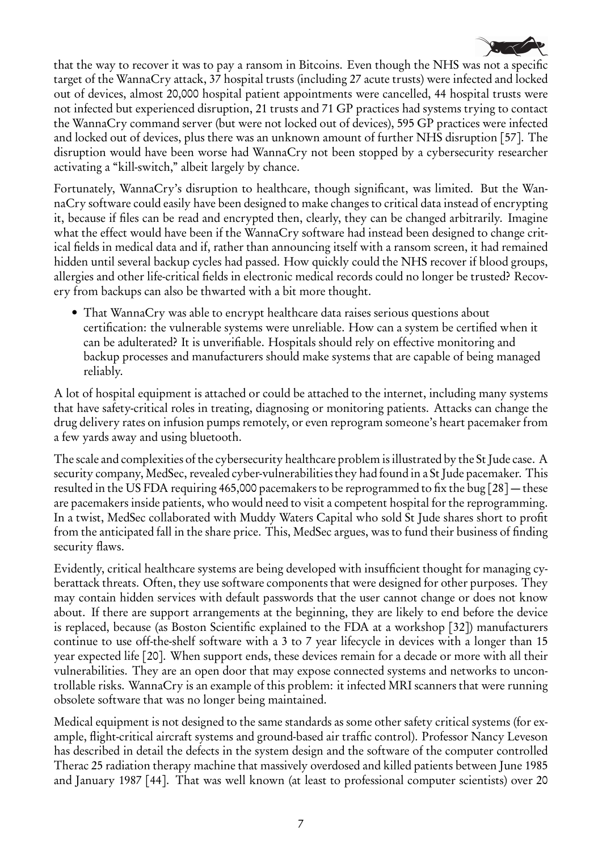

that the way to recover it was to pay a ransom in Bitcoins. Even though the NHS was not a specific target of the WannaCry attack, 37 hospital trusts (including 27 acute trusts) were infected and locked out of devices, almost 20,000 hospital patient appointments were cancelled, 44 hospital trusts were not infected but experienced disruption, 21 trusts and 71 GP practices had systems trying to contact the WannaCry command server (but were not locked out of devices), 595 GP practices were infected and locked out of devices, plus there was an unknown amount of further NHS disruption [57]. The disruption would have been worse had WannaCry not been stopped by a cybersecurity researcher activating a "kill-switch," albeit largely by chance.

Fortunately, WannaCry's disruption to healthcare, though significant, was limited. But the WannaCry software could easily have been designed to make changes to critical data instead of encrypting it, because if files can be read and encrypted then, clearly, they can be changed arbitrarily. Imagine what the effect would have been if the WannaCry software had instead been designed to change critical fields in medical data and if, rather than announcing itself with a ransom screen, it had remained hidden until several backup cycles had passed. How quickly could the NHS recover if blood groups, allergies and other life-critical fields in electronic medical records could no longer be trusted? Recovery from backups can also be thwarted with a bit more thought.

• That WannaCry was able to encrypt healthcare data raises serious questions about certification: the vulnerable systems were unreliable. How can a system be certified when it can be adulterated? It is unverifiable. Hospitals should rely on effective monitoring and backup processes and manufacturers should make systems that are capable of being managed reliably.

A lot of hospital equipment is attached or could be attached to the internet, including many systems that have safety-critical roles in treating, diagnosing or monitoring patients. Attacks can change the drug delivery rates on infusion pumps remotely, or even reprogram someone's heart pacemaker from a few yards away and using bluetooth.

The scale and complexities of the cybersecurity healthcare problem is illustrated by the St Jude case. A security company, MedSec, revealed cyber-vulnerabilities they had found in a St Jude pacemaker. This resulted in the US FDA requiring 465,000 pacemakers to be reprogrammed to fix the bug [28] — these are pacemakers inside patients, who would need to visit a competent hospital for the reprogramming. In a twist, MedSec collaborated with Muddy Waters Capital who sold St Jude shares short to profit from the anticipated fall in the share price. This, MedSec argues, was to fund their business of finding security flaws.

Evidently, critical healthcare systems are being developed with insufficient thought for managing cyberattack threats. Often, they use software components that were designed for other purposes. They may contain hidden services with default passwords that the user cannot change or does not know about. If there are support arrangements at the beginning, they are likely to end before the device is replaced, because (as Boston Scientific explained to the FDA at a workshop [32]) manufacturers continue to use off-the-shelf software with a 3 to 7 year lifecycle in devices with a longer than 15 year expected life [20]. When support ends, these devices remain for a decade or more with all their vulnerabilities. They are an open door that may expose connected systems and networks to uncontrollable risks. WannaCry is an example of this problem: it infected MRI scanners that were running obsolete software that was no longer being maintained.

Medical equipment is not designed to the same standards as some other safety critical systems (for example, flight-critical aircraft systems and ground-based air traffic control). Professor Nancy Leveson has described in detail the defects in the system design and the software of the computer controlled Therac 25 radiation therapy machine that massively overdosed and killed patients between June 1985 and January 1987 [44]. That was well known (at least to professional computer scientists) over 20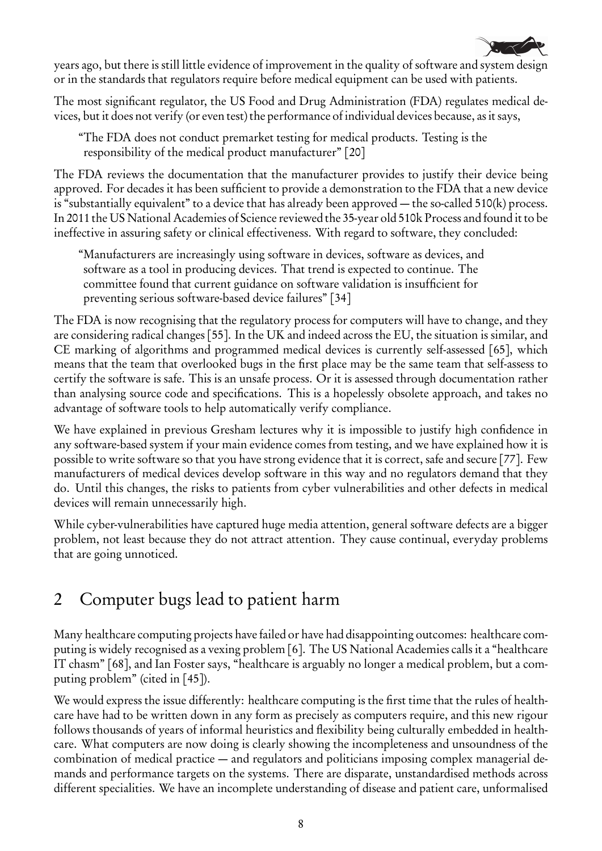

years ago, but there is still little evidence of improvement in the quality of software and system design or in the standards that regulators require before medical equipment can be used with patients.

The most significant regulator, the US Food and Drug Administration (FDA) regulates medical devices, but it does not verify (or even test) the performance of individual devices because, as it says,

"The FDA does not conduct premarket testing for medical products. Testing is the responsibility of the medical product manufacturer" [20]

The FDA reviews the documentation that the manufacturer provides to justify their device being approved. For decades it has been sufficient to provide a demonstration to the FDA that a new device is "substantially equivalent" to a device that has already been approved — the so-called 510(k) process. In 2011 the US National Academies of Science reviewed the 35-year old 510k Process and found it to be ineffective in assuring safety or clinical effectiveness. With regard to software, they concluded:

"Manufacturers are increasingly using software in devices, software as devices, and software as a tool in producing devices. That trend is expected to continue. The committee found that current guidance on software validation is insufficient for preventing serious software-based device failures" [34]

The FDA is now recognising that the regulatory process for computers will have to change, and they are considering radical changes [55]. In the UK and indeed across the EU, the situation is similar, and CE marking of algorithms and programmed medical devices is currently self-assessed [65], which means that the team that overlooked bugs in the first place may be the same team that self-assess to certify the software is safe. This is an unsafe process. Or it is assessed through documentation rather than analysing source code and specifications. This is a hopelessly obsolete approach, and takes no advantage of software tools to help automatically verify compliance.

We have explained in previous Gresham lectures why it is impossible to justify high confidence in any software-based system if your main evidence comes from testing, and we have explained how it is possible to write software so that you have strong evidence that it is correct, safe and secure [77]. Few manufacturers of medical devices develop software in this way and no regulators demand that they do. Until this changes, the risks to patients from cyber vulnerabilities and other defects in medical devices will remain unnecessarily high.

While cyber-vulnerabilities have captured huge media attention, general software defects are a bigger problem, not least because they do not attract attention. They cause continual, everyday problems that are going unnoticed.

# 2 Computer bugs lead to patient harm

Many healthcare computing projects have failed or have had disappointing outcomes: healthcare computing is widely recognised as a vexing problem [6]. The US National Academies calls it a "healthcare IT chasm" [68], and Ian Foster says, "healthcare is arguably no longer a medical problem, but a computing problem" (cited in [45]).

We would express the issue differently: healthcare computing is the first time that the rules of healthcare have had to be written down in any form as precisely as computers require, and this new rigour follows thousands of years of informal heuristics and flexibility being culturally embedded in healthcare. What computers are now doing is clearly showing the incompleteness and unsoundness of the combination of medical practice — and regulators and politicians imposing complex managerial demands and performance targets on the systems. There are disparate, unstandardised methods across different specialities. We have an incomplete understanding of disease and patient care, unformalised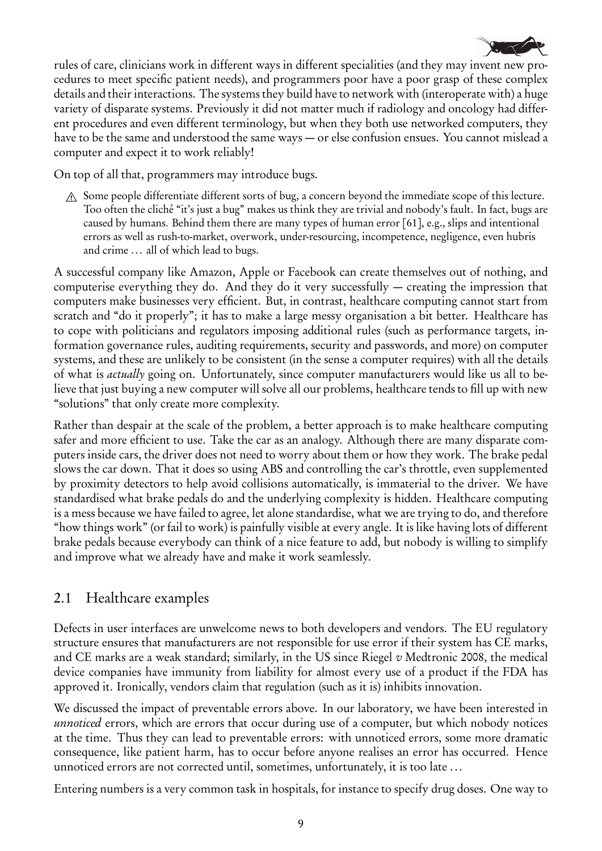

rules of care, clinicians work in different ways in different specialities (and they may invent new procedures to meet specific patient needs), and programmers poor have a poor grasp of these complex details and their interactions. The systems they build have to network with (interoperate with) a huge variety of disparate systems. Previously it did not matter much if radiology and oncology had different procedures and even different terminology, but when they both use networked computers, they have to be the same and understood the same ways — or else confusion ensues. You cannot mislead a computer and expect it to work reliably!

On top of all that, programmers may introduce bugs.

 $A$  Some people differentiate different sorts of bug, a concern beyond the immediate scope of this lecture. Too often the cliché "it's just a bug" makes us think they are trivial and nobody's fault. In fact, bugs are caused by humans. Behind them there are many types of human error [61], e.g., slips and intentional errors as well as rush-to-market, overwork, under-resourcing, incompetence, negligence, even hubris and crime ... all of which lead to bugs.

A successful company like Amazon, Apple or Facebook can create themselves out of nothing, and computerise everything they do. And they do it very successfully — creating the impression that computers make businesses very efficient. But, in contrast, healthcare computing cannot start from scratch and "do it properly"; it has to make a large messy organisation a bit better. Healthcare has to cope with politicians and regulators imposing additional rules (such as performance targets, information governance rules, auditing requirements, security and passwords, and more) on computer systems, and these are unlikely to be consistent (in the sense a computer requires) with all the details of what is actually going on. Unfortunately, since computer manufacturers would like us all to believe that just buying a new computer will solve all our problems, healthcare tends to fill up with new "solutions" that only create more complexity.

Rather than despair at the scale of the problem, a better approach is to make healthcare computing safer and more efficient to use. Take the car as an analogy. Although there are many disparate computers inside cars, the driver does not need to worry about them or how they work. The brake pedal slows the car down. That it does so using ABS and controlling the car's throttle, even supplemented by proximity detectors to help avoid collisions automatically, is immaterial to the driver. We have standardised what brake pedals do and the underlying complexity is hidden. Healthcare computing is a mess because we have failed to agree, let alone standardise, what we are trying to do, and therefore "how things work" (or fail to work) is painfully visible at every angle. It is like having lots of different brake pedals because everybody can think of a nice feature to add, but nobody is willing to simplify and improve what we already have and make it work seamlessly.

## 2.1 Healthcare examples

Defects in user interfaces are unwelcome news to both developers and vendors. The EU regulatory structure ensures that manufacturers are not responsible for use error if their system has CE marks, and CE marks are a weak standard; similarly, in the US since Riegel  $v$  Medtronic 2008, the medical device companies have immunity from liability for almost every use of a product if the FDA has approved it. Ironically, vendors claim that regulation (such as it is) inhibits innovation.

We discussed the impact of preventable errors above. In our laboratory, we have been interested in unnoticed errors, which are errors that occur during use of a computer, but which nobody notices at the time. Thus they can lead to preventable errors: with unnoticed errors, some more dramatic consequence, like patient harm, has to occur before anyone realises an error has occurred. Hence unnoticed errors are not corrected until, sometimes, unfortunately, it is too late ...

Entering numbers is a very common task in hospitals, for instance to specify drug doses. One way to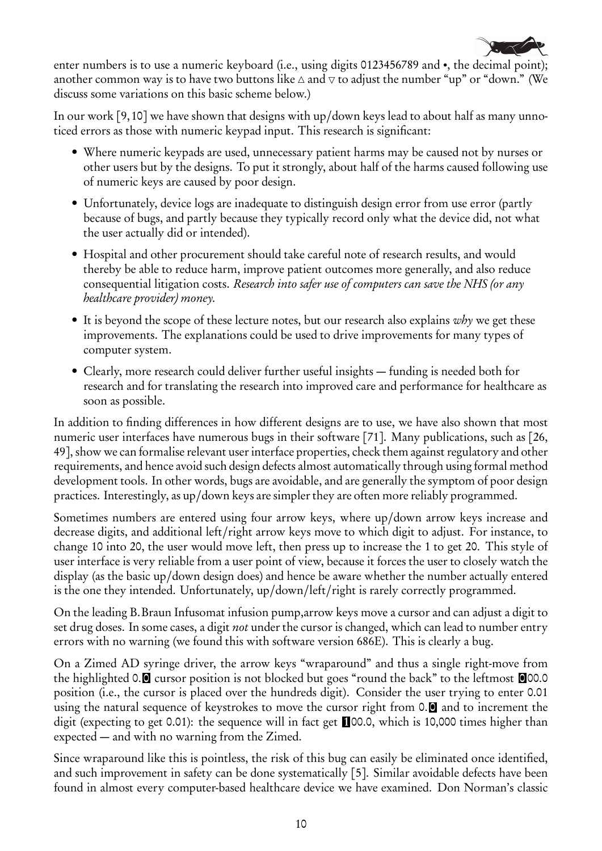

enter numbers is to use a numeric keyboard (i.e., using digits 0123456789 and •, the decimal point); another common way is to have two buttons like  $\triangle$  and  $\nabla$  to adjust the number "up" or "down." (We discuss some variations on this basic scheme below.)

In our work [9,10] we have shown that designs with up/down keys lead to about half as many unnoticed errors as those with numeric keypad input. This research is significant:

- Where numeric keypads are used, unnecessary patient harms may be caused not by nurses or other users but by the designs. To put it strongly, about half of the harms caused following use of numeric keys are caused by poor design.
- Unfortunately, device logs are inadequate to distinguish design error from use error (partly because of bugs, and partly because they typically record only what the device did, not what the user actually did or intended).
- Hospital and other procurement should take careful note of research results, and would thereby be able to reduce harm, improve patient outcomes more generally, and also reduce consequential litigation costs. Research into safer use of computers can save the NHS (or any healthcare provider) money.
- It is beyond the scope of these lecture notes, but our research also explains  $why$  we get these improvements. The explanations could be used to drive improvements for many types of computer system.
- Clearly, more research could deliver further useful insights funding is needed both for research and for translating the research into improved care and performance for healthcare as soon as possible.

In addition to finding differences in how different designs are to use, we have also shown that most numeric user interfaces have numerous bugs in their software [71]. Many publications, such as [26, 49], show we can formalise relevant user interface properties, check them against regulatory and other requirements, and hence avoid such design defects almost automatically through using formal method development tools. In other words, bugs are avoidable, and are generally the symptom of poor design practices. Interestingly, as up/down keys are simpler they are often more reliably programmed.

Sometimes numbers are entered using four arrow keys, where up/down arrow keys increase and decrease digits, and additional left/right arrow keys move to which digit to adjust. For instance, to change 10 into 20, the user would move left, then press up to increase the 1 to get 20. This style of user interface is very reliable from a user point of view, because it forces the user to closely watch the display (as the basic up/down design does) and hence be aware whether the number actually entered is the one they intended. Unfortunately, up/down/left/right is rarely correctly programmed.

On the leading B.Braun Infusomat infusion pump,arrow keys move a cursor and can adjust a digit to set drug doses. In some cases, a digit *not* under the cursor is changed, which can lead to number entry errors with no warning (we found this with software version 686E). This is clearly a bug.

On a Zimed AD syringe driver, the arrow keys "wraparound" and thus a single right-move from the highlighted 0.  $\blacksquare$  cursor position is not blocked but goes "round the back" to the leftmost  $\blacksquare$ 00.0 position (i.e., the cursor is placed over the hundreds digit). Consider the user trying to enter 0.01 using the natural sequence of keystrokes to move the cursor right from 0.<sup>1</sup> and to increment the digit (expecting to get 0.01): the sequence will in fact get 100.0, which is 10,000 times higher than expected — and with no warning from the Zimed.

Since wraparound like this is pointless, the risk of this bug can easily be eliminated once identified, and such improvement in safety can be done systematically [5]. Similar avoidable defects have been found in almost every computer-based healthcare device we have examined. Don Norman's classic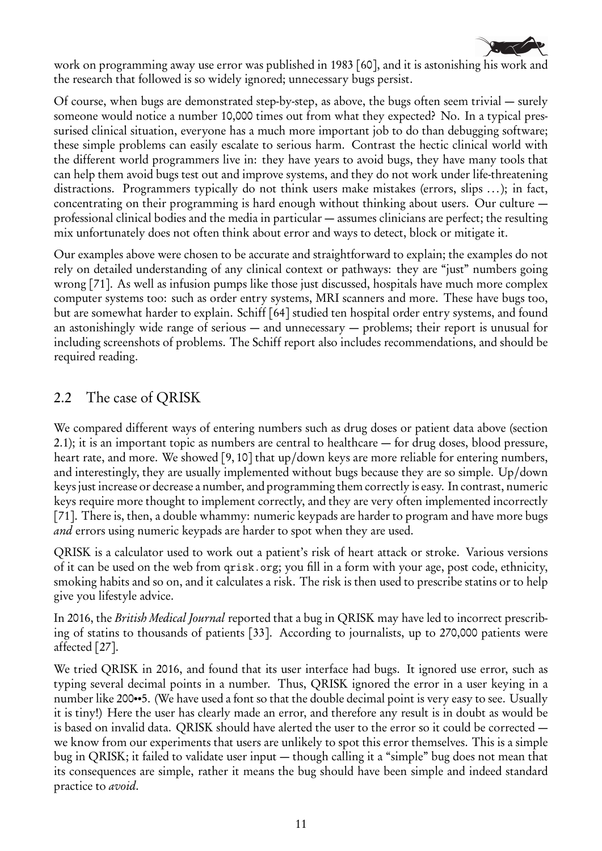

work on programming away use error was published in 1983 [60], and it is astonishing his work and the research that followed is so widely ignored; unnecessary bugs persist.

Of course, when bugs are demonstrated step-by-step, as above, the bugs often seem trivial — surely someone would notice a number 10,000 times out from what they expected? No. In a typical pressurised clinical situation, everyone has a much more important job to do than debugging software; these simple problems can easily escalate to serious harm. Contrast the hectic clinical world with the different world programmers live in: they have years to avoid bugs, they have many tools that can help them avoid bugs test out and improve systems, and they do not work under life-threatening distractions. Programmers typically do not think users make mistakes (errors, slips ...); in fact, concentrating on their programming is hard enough without thinking about users. Our culture professional clinical bodies and the media in particular — assumes clinicians are perfect; the resulting mix unfortunately does not often think about error and ways to detect, block or mitigate it.

Our examples above were chosen to be accurate and straightforward to explain; the examples do not rely on detailed understanding of any clinical context or pathways: they are "just" numbers going wrong [71]. As well as infusion pumps like those just discussed, hospitals have much more complex computer systems too: such as order entry systems, MRI scanners and more. These have bugs too, but are somewhat harder to explain. Schiff [64] studied ten hospital order entry systems, and found an astonishingly wide range of serious — and unnecessary — problems; their report is unusual for including screenshots of problems. The Schiff report also includes recommendations, and should be required reading.

#### 2.2 The case of QRISK

We compared different ways of entering numbers such as drug doses or patient data above (section 2.1); it is an important topic as numbers are central to healthcare — for drug doses, blood pressure, heart rate, and more. We showed [9, 10] that up/down keys are more reliable for entering numbers, and interestingly, they are usually implemented without bugs because they are so simple. Up/down keys just increase or decrease a number, and programming them correctly is easy. In contrast, numeric keys require more thought to implement correctly, and they are very often implemented incorrectly [71]. There is, then, a double whammy: numeric keypads are harder to program and have more bugs and errors using numeric keypads are harder to spot when they are used.

QRISK is a calculator used to work out a patient's risk of heart attack or stroke. Various versions of it can be used on the web from qrisk.org; you fill in a form with your age, post code, ethnicity, smoking habits and so on, and it calculates a risk. The risk is then used to prescribe statins or to help give you lifestyle advice.

In 2016, the British Medical Journal reported that a bug in QRISK may have led to incorrect prescribing of statins to thousands of patients [33]. According to journalists, up to 270,000 patients were affected [27].

We tried QRISK in 2016, and found that its user interface had bugs. It ignored use error, such as typing several decimal points in a number. Thus, QRISK ignored the error in a user keying in a number like 200••5. (We have used a font so that the double decimal point is very easy to see. Usually it is tiny!) Here the user has clearly made an error, and therefore any result is in doubt as would be is based on invalid data. QRISK should have alerted the user to the error so it could be corrected we know from our experiments that users are unlikely to spot this error themselves. This is a simple bug in QRISK; it failed to validate user input — though calling it a "simple" bug does not mean that its consequences are simple, rather it means the bug should have been simple and indeed standard practice to *avoid*.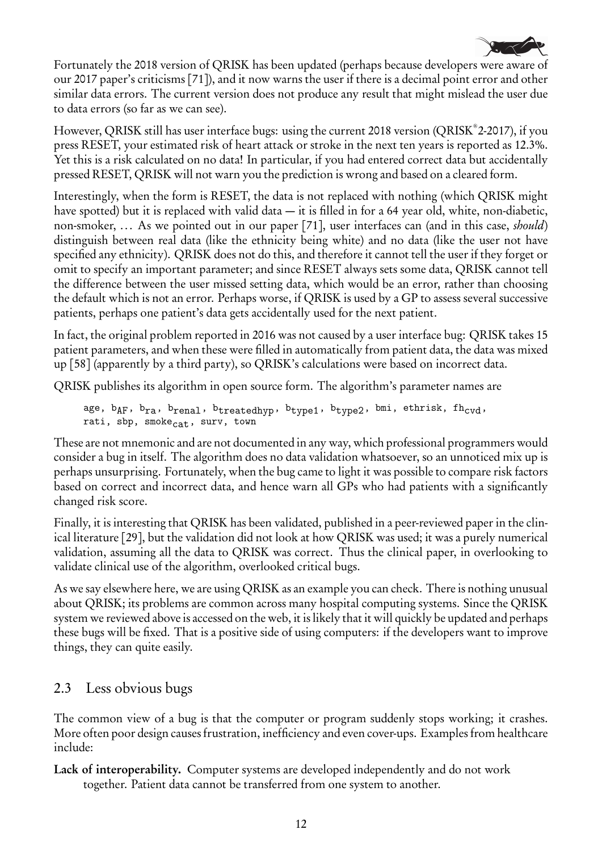

Fortunately the 2018 version of QRISK has been updated (perhaps because developers were aware of our 2017 paper's criticisms [71]), and it now warns the user if there is a decimal point error and other similar data errors. The current version does not produce any result that might mislead the user due to data errors (so far as we can see).

However, QRISK still has user interface bugs: using the current 2018 version (QRISK® 2-2017), if you press RESET, your estimated risk of heart attack or stroke in the next ten years is reported as 12.3%. Yet this is a risk calculated on no data! In particular, if you had entered correct data but accidentally pressed RESET, QRISK will not warn you the prediction is wrong and based on a cleared form.

Interestingly, when the form is RESET, the data is not replaced with nothing (which QRISK might have spotted) but it is replaced with valid data — it is filled in for a 64 year old, white, non-diabetic, non-smoker, ... As we pointed out in our paper [71], user interfaces can (and in this case, *should*) distinguish between real data (like the ethnicity being white) and no data (like the user not have specified any ethnicity). QRISK does not do this, and therefore it cannot tell the user if they forget or omit to specify an important parameter; and since RESET always sets some data, QRISK cannot tell the difference between the user missed setting data, which would be an error, rather than choosing the default which is not an error. Perhaps worse, if QRISK is used by a GP to assess several successive patients, perhaps one patient's data gets accidentally used for the next patient.

In fact, the original problem reported in 2016 was not caused by a user interface bug: QRISK takes 15 patient parameters, and when these were filled in automatically from patient data, the data was mixed up [58] (apparently by a third party), so QRISK's calculations were based on incorrect data.

QRISK publishes its algorithm in open source form. The algorithm's parameter names are

```
age, b_{AF}, b_{ra}, b_{renal}, b_{treeatedhyp}, b_{type1}, b_{type2}, b_{mi}, ethrisk, fh_{cvd},
rati, sbp, smoke_{cat}, surv, town
```
These are not mnemonic and are not documented in any way, which professional programmers would consider a bug in itself. The algorithm does no data validation whatsoever, so an unnoticed mix up is perhaps unsurprising. Fortunately, when the bug came to light it was possible to compare risk factors based on correct and incorrect data, and hence warn all GPs who had patients with a significantly changed risk score.

Finally, it is interesting that QRISK has been validated, published in a peer-reviewed paper in the clinical literature [29], but the validation did not look at how QRISK was used; it was a purely numerical validation, assuming all the data to QRISK was correct. Thus the clinical paper, in overlooking to validate clinical use of the algorithm, overlooked critical bugs.

As we say elsewhere here, we are using QRISK as an example you can check. There is nothing unusual about QRISK; its problems are common across many hospital computing systems. Since the QRISK system we reviewed above is accessed on the web, it is likely that it will quickly be updated and perhaps these bugs will be fixed. That is a positive side of using computers: if the developers want to improve things, they can quite easily.

## 2.3 Less obvious bugs

The common view of a bug is that the computer or program suddenly stops working; it crashes. More often poor design causes frustration, inefficiency and even cover-ups. Examples from healthcare include:

Lack of interoperability. Computer systems are developed independently and do not work together. Patient data cannot be transferred from one system to another.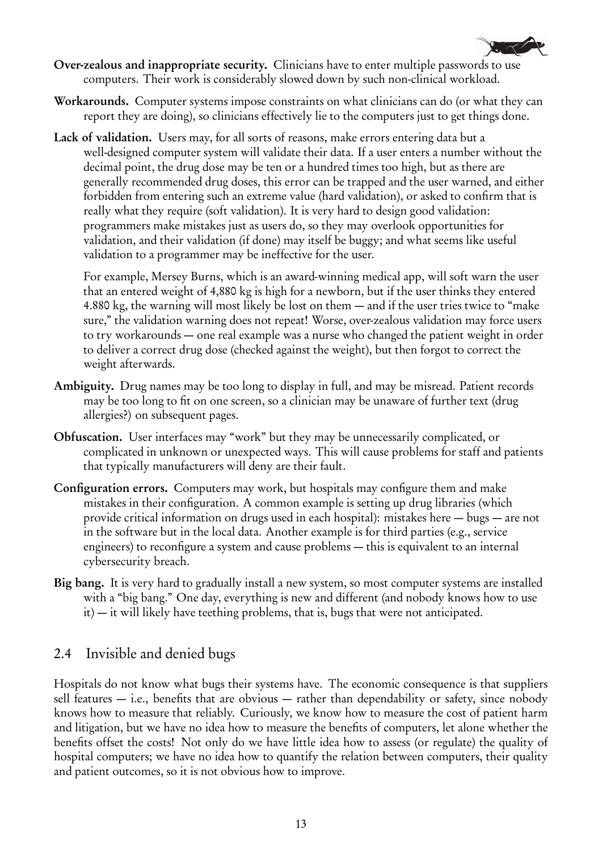

- Over-zealous and inappropriate security. Clinicians have to enter multiple passwords to use computers. Their work is considerably slowed down by such non-clinical workload.
- Workarounds. Computer systems impose constraints on what clinicians can do (or what they can report they are doing), so clinicians effectively lie to the computers just to get things done.
- Lack of validation. Users may, for all sorts of reasons, make errors entering data but a well-designed computer system will validate their data. If a user enters a number without the decimal point, the drug dose may be ten or a hundred times too high, but as there are generally recommended drug doses, this error can be trapped and the user warned, and either forbidden from entering such an extreme value (hard validation), or asked to confirm that is really what they require (soft validation). It is very hard to design good validation: programmers make mistakes just as users do, so they may overlook opportunities for validation, and their validation (if done) may itself be buggy; and what seems like useful validation to a programmer may be ineffective for the user.

For example, Mersey Burns, which is an award-winning medical app, will soft warn the user that an entered weight of 4,880 kg is high for a newborn, but if the user thinks they entered 4.880 kg, the warning will most likely be lost on them — and if the user tries twice to "make sure," the validation warning does not repeat! Worse, over-zealous validation may force users to try workarounds — one real example was a nurse who changed the patient weight in order to deliver a correct drug dose (checked against the weight), but then forgot to correct the weight afterwards.

- Ambiguity. Drug names may be too long to display in full, and may be misread. Patient records may be too long to fit on one screen, so a clinician may be unaware of further text (drug allergies?) on subsequent pages.
- Obfuscation. User interfaces may "work" but they may be unnecessarily complicated, or complicated in unknown or unexpected ways. This will cause problems for staff and patients that typically manufacturers will deny are their fault.
- Configuration errors. Computers may work, but hospitals may configure them and make mistakes in their configuration. A common example is setting up drug libraries (which provide critical information on drugs used in each hospital): mistakes here — bugs — are not in the software but in the local data. Another example is for third parties (e.g., service engineers) to reconfigure a system and cause problems — this is equivalent to an internal cybersecurity breach.
- Big bang. It is very hard to gradually install a new system, so most computer systems are installed with a "big bang." One day, everything is new and different (and nobody knows how to use it) — it will likely have teething problems, that is, bugs that were not anticipated.

#### 2.4 Invisible and denied bugs

Hospitals do not know what bugs their systems have. The economic consequence is that suppliers sell features  $-$  i.e., benefits that are obvious  $-$  rather than dependability or safety, since nobody knows how to measure that reliably. Curiously, we know how to measure the cost of patient harm and litigation, but we have no idea how to measure the benefits of computers, let alone whether the benefits offset the costs! Not only do we have little idea how to assess (or regulate) the quality of hospital computers; we have no idea how to quantify the relation between computers, their quality and patient outcomes, so it is not obvious how to improve.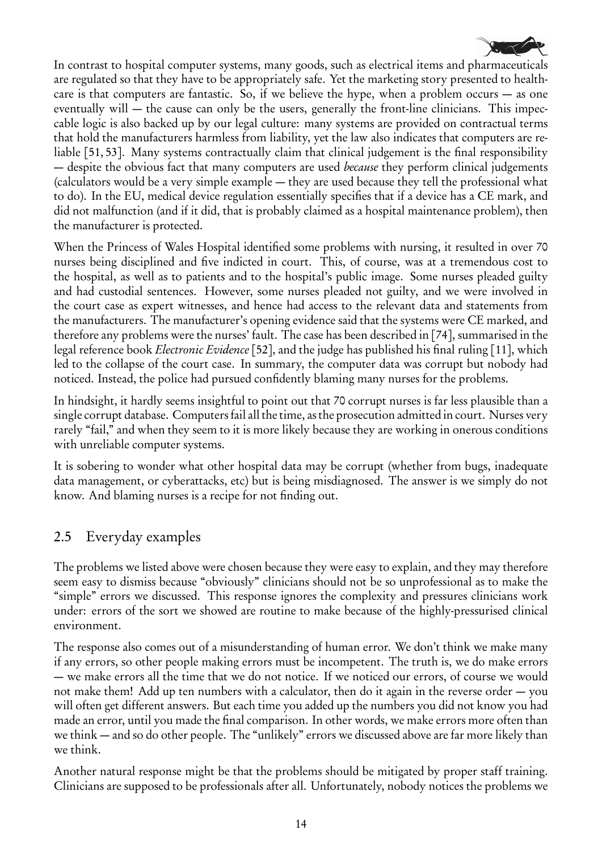

In contrast to hospital computer systems, many goods, such as electrical items and pharmaceuticals are regulated so that they have to be appropriately safe. Yet the marketing story presented to healthcare is that computers are fantastic. So, if we believe the hype, when a problem occurs — as one eventually will — the cause can only be the users, generally the front-line clinicians. This impeccable logic is also backed up by our legal culture: many systems are provided on contractual terms that hold the manufacturers harmless from liability, yet the law also indicates that computers are reliable [51, 53]. Many systems contractually claim that clinical judgement is the final responsibility — despite the obvious fact that many computers are used *because* they perform clinical judgements (calculators would be a very simple example — they are used because they tell the professional what to do). In the EU, medical device regulation essentially specifies that if a device has a CE mark, and did not malfunction (and if it did, that is probably claimed as a hospital maintenance problem), then the manufacturer is protected.

When the Princess of Wales Hospital identified some problems with nursing, it resulted in over 70 nurses being disciplined and five indicted in court. This, of course, was at a tremendous cost to the hospital, as well as to patients and to the hospital's public image. Some nurses pleaded guilty and had custodial sentences. However, some nurses pleaded not guilty, and we were involved in the court case as expert witnesses, and hence had access to the relevant data and statements from the manufacturers. The manufacturer's opening evidence said that the systems were CE marked, and therefore any problems were the nurses' fault. The case has been described in [74], summarised in the legal reference book *Electronic Evidence* [52], and the judge has published his final ruling [11], which led to the collapse of the court case. In summary, the computer data was corrupt but nobody had noticed. Instead, the police had pursued confidently blaming many nurses for the problems.

In hindsight, it hardly seems insightful to point out that 70 corrupt nurses is far less plausible than a single corrupt database. Computers fail all the time, as the prosecution admitted in court. Nurses very rarely "fail," and when they seem to it is more likely because they are working in onerous conditions with unreliable computer systems.

It is sobering to wonder what other hospital data may be corrupt (whether from bugs, inadequate data management, or cyberattacks, etc) but is being misdiagnosed. The answer is we simply do not know. And blaming nurses is a recipe for not finding out.

## 2.5 Everyday examples

The problems we listed above were chosen because they were easy to explain, and they may therefore seem easy to dismiss because "obviously" clinicians should not be so unprofessional as to make the "simple" errors we discussed. This response ignores the complexity and pressures clinicians work under: errors of the sort we showed are routine to make because of the highly-pressurised clinical environment.

The response also comes out of a misunderstanding of human error. We don't think we make many if any errors, so other people making errors must be incompetent. The truth is, we do make errors — we make errors all the time that we do not notice. If we noticed our errors, of course we would not make them! Add up ten numbers with a calculator, then do it again in the reverse order — you will often get different answers. But each time you added up the numbers you did not know you had made an error, until you made the final comparison. In other words, we make errors more often than we think — and so do other people. The "unlikely" errors we discussed above are far more likely than we think.

Another natural response might be that the problems should be mitigated by proper staff training. Clinicians are supposed to be professionals after all. Unfortunately, nobody notices the problems we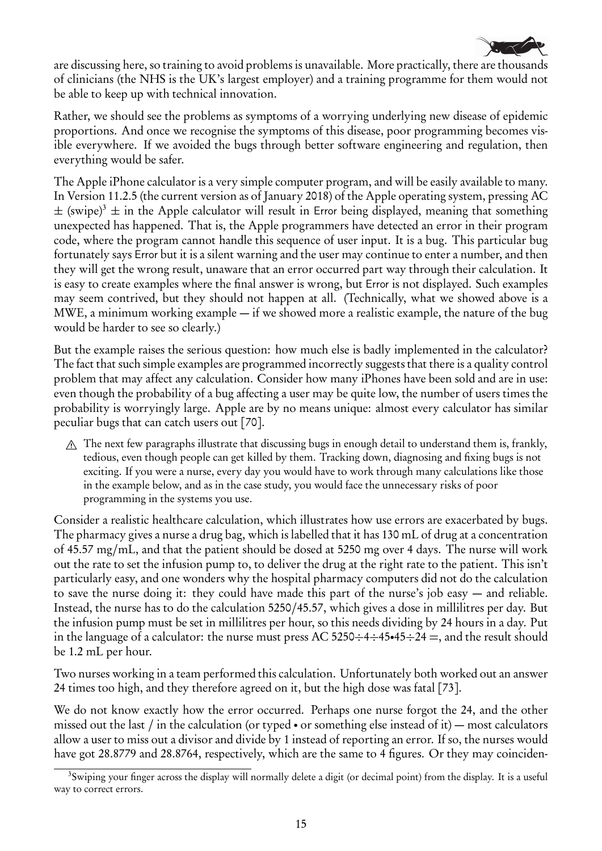

are discussing here, so training to avoid problems is unavailable. More practically, there are thousands of clinicians (the NHS is the UK's largest employer) and a training programme for them would not be able to keep up with technical innovation.

Rather, we should see the problems as symptoms of a worrying underlying new disease of epidemic proportions. And once we recognise the symptoms of this disease, poor programming becomes visible everywhere. If we avoided the bugs through better software engineering and regulation, then everything would be safer.

The Apple iPhone calculator is a very simple computer program, and will be easily available to many. In Version 11.2.5 (the current version as of January 2018) of the Apple operating system, pressing AC  $\pm$  (swipe)<sup>3</sup>  $\pm$  in the Apple calculator will result in Error being displayed, meaning that something unexpected has happened. That is, the Apple programmers have detected an error in their program code, where the program cannot handle this sequence of user input. It is a bug. This particular bug fortunately says Error but it is a silent warning and the user may continue to enter a number, and then they will get the wrong result, unaware that an error occurred part way through their calculation. It is easy to create examples where the final answer is wrong, but Error is not displayed. Such examples may seem contrived, but they should not happen at all. (Technically, what we showed above is a MWE, a minimum working example — if we showed more a realistic example, the nature of the bug would be harder to see so clearly.)

But the example raises the serious question: how much else is badly implemented in the calculator? The fact that such simple examples are programmed incorrectly suggests that there is a quality control problem that may affect any calculation. Consider how many iPhones have been sold and are in use: even though the probability of a bug affecting a user may be quite low, the number of users times the probability is worryingly large. Apple are by no means unique: almost every calculator has similar peculiar bugs that can catch users out [70].

 $\Lambda$  The next few paragraphs illustrate that discussing bugs in enough detail to understand them is, frankly, tedious, even though people can get killed by them. Tracking down, diagnosing and fixing bugs is not exciting. If you were a nurse, every day you would have to work through many calculations like those in the example below, and as in the case study, you would face the unnecessary risks of poor programming in the systems you use.

Consider a realistic healthcare calculation, which illustrates how use errors are exacerbated by bugs. The pharmacy gives a nurse a drug bag, which is labelled that it has 130 mL of drug at a concentration of 45.57 mg/mL, and that the patient should be dosed at 5250 mg over 4 days. The nurse will work out the rate to set the infusion pump to, to deliver the drug at the right rate to the patient. This isn't particularly easy, and one wonders why the hospital pharmacy computers did not do the calculation to save the nurse doing it: they could have made this part of the nurse's job easy — and reliable. Instead, the nurse has to do the calculation 5250/45.57, which gives a dose in millilitres per day. But the infusion pump must be set in millilitres per hour, so this needs dividing by 24 hours in a day. Put in the language of a calculator: the nurse must press AC 5250: $-4$ : $-45$  $-45$  $-24$  =, and the result should be 1.2 mL per hour.

Two nurses working in a team performed this calculation. Unfortunately both worked out an answer 24 times too high, and they therefore agreed on it, but the high dose was fatal [73].

We do not know exactly how the error occurred. Perhaps one nurse forgot the 24, and the other missed out the last / in the calculation (or typed • or something else instead of it) — most calculators allow a user to miss out a divisor and divide by 1 instead of reporting an error. If so, the nurses would have got 28.8779 and 28.8764, respectively, which are the same to 4 figures. Or they may coinciden-

<sup>&</sup>lt;sup>3</sup>Swiping your finger across the display will normally delete a digit (or decimal point) from the display. It is a useful way to correct errors.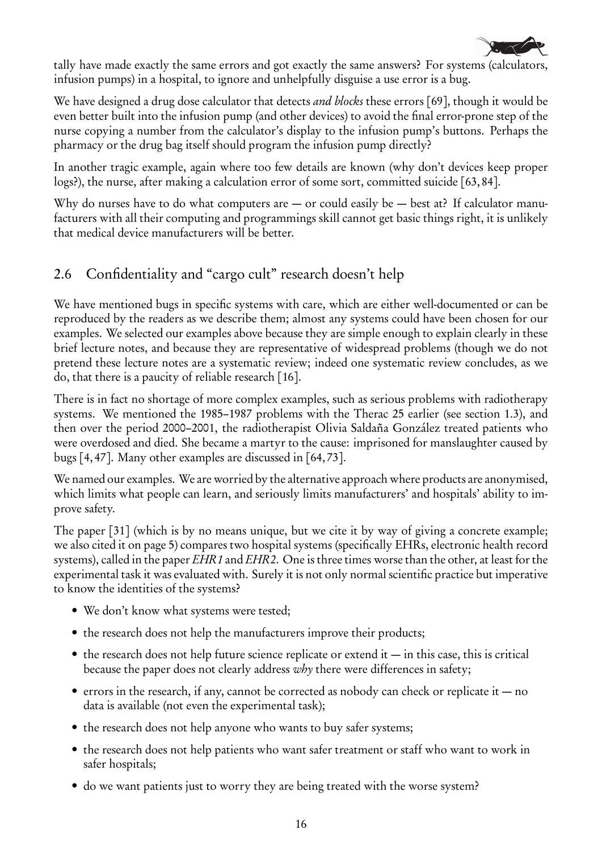

tally have made exactly the same errors and got exactly the same answers? For systems (calculators, infusion pumps) in a hospital, to ignore and unhelpfully disguise a use error is a bug.

We have designed a drug dose calculator that detects *and blocks* these errors [69], though it would be even better built into the infusion pump (and other devices) to avoid the final error-prone step of the nurse copying a number from the calculator's display to the infusion pump's buttons. Perhaps the pharmacy or the drug bag itself should program the infusion pump directly?

In another tragic example, again where too few details are known (why don't devices keep proper logs?), the nurse, after making a calculation error of some sort, committed suicide [63, 84].

Why do nurses have to do what computers are  $-$  or could easily be  $-$  best at? If calculator manufacturers with all their computing and programmings skill cannot get basic things right, it is unlikely that medical device manufacturers will be better.

# 2.6 Confidentiality and "cargo cult" research doesn't help

We have mentioned bugs in specific systems with care, which are either well-documented or can be reproduced by the readers as we describe them; almost any systems could have been chosen for our examples. We selected our examples above because they are simple enough to explain clearly in these brief lecture notes, and because they are representative of widespread problems (though we do not pretend these lecture notes are a systematic review; indeed one systematic review concludes, as we do, that there is a paucity of reliable research [16].

There is in fact no shortage of more complex examples, such as serious problems with radiotherapy systems. We mentioned the 1985–1987 problems with the Therac 25 earlier (see section 1.3), and then over the period 2000–2001, the radiotherapist Olivia Saldaña González treated patients who were overdosed and died. She became a martyr to the cause: imprisoned for manslaughter caused by bugs [4, 47]. Many other examples are discussed in [64, 73].

We named our examples. We are worried by the alternative approach where products are anonymised, which limits what people can learn, and seriously limits manufacturers' and hospitals' ability to improve safety.

The paper [31] (which is by no means unique, but we cite it by way of giving a concrete example; we also cited it on page 5) compares two hospital systems (specifically EHRs, electronic health record systems), called in the paper EHR1 and EHR2. One is three times worse than the other, at least for the experimental task it was evaluated with. Surely it is not only normal scientific practice but imperative to know the identities of the systems?

- We don't know what systems were tested;
- the research does not help the manufacturers improve their products;
- $\bullet$  the research does not help future science replicate or extend it  $\sim$  in this case, this is critical because the paper does not clearly address why there were differences in safety;
- errors in the research, if any, cannot be corrected as nobody can check or replicate it  $-$  no data is available (not even the experimental task);
- the research does not help anyone who wants to buy safer systems;
- the research does not help patients who want safer treatment or staff who want to work in safer hospitals;
- do we want patients just to worry they are being treated with the worse system?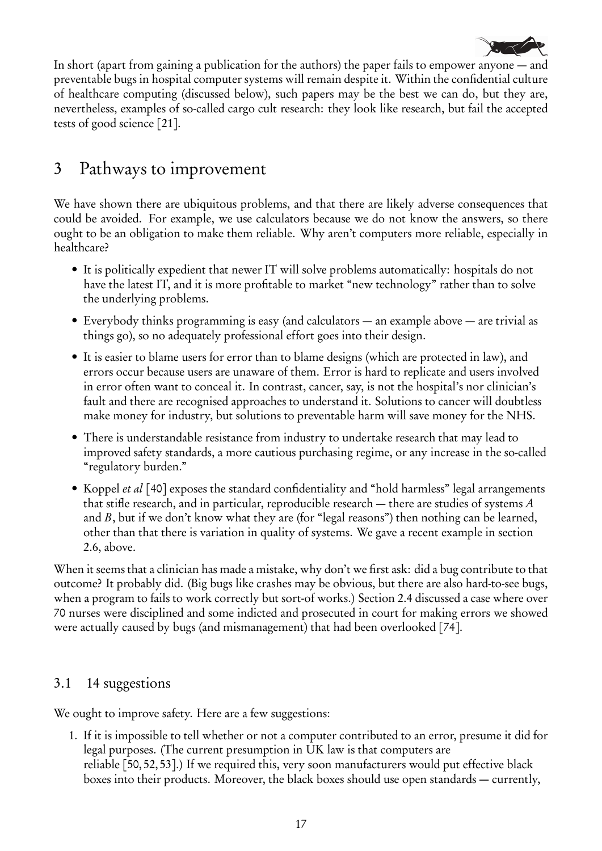

In short (apart from gaining a publication for the authors) the paper fails to empower anyone — and preventable bugs in hospital computer systems will remain despite it. Within the confidential culture of healthcare computing (discussed below), such papers may be the best we can do, but they are, nevertheless, examples of so-called cargo cult research: they look like research, but fail the accepted tests of good science [21].

# 3 Pathways to improvement

We have shown there are ubiquitous problems, and that there are likely adverse consequences that could be avoided. For example, we use calculators because we do not know the answers, so there ought to be an obligation to make them reliable. Why aren't computers more reliable, especially in healthcare?

- It is politically expedient that newer IT will solve problems automatically: hospitals do not have the latest IT, and it is more profitable to market "new technology" rather than to solve the underlying problems.
- Everybody thinks programming is easy (and calculators an example above are trivial as things go), so no adequately professional effort goes into their design.
- It is easier to blame users for error than to blame designs (which are protected in law), and errors occur because users are unaware of them. Error is hard to replicate and users involved in error often want to conceal it. In contrast, cancer, say, is not the hospital's nor clinician's fault and there are recognised approaches to understand it. Solutions to cancer will doubtless make money for industry, but solutions to preventable harm will save money for the NHS.
- There is understandable resistance from industry to undertake research that may lead to improved safety standards, a more cautious purchasing regime, or any increase in the so-called "regulatory burden."
- Koppel et al [40] exposes the standard confidentiality and "hold harmless" legal arrangements that stifle research, and in particular, reproducible research — there are studies of systems A and  $B$ , but if we don't know what they are (for "legal reasons") then nothing can be learned, other than that there is variation in quality of systems. We gave a recent example in section 2.6, above.

When it seems that a clinician has made a mistake, why don't we first ask: did a bug contribute to that outcome? It probably did. (Big bugs like crashes may be obvious, but there are also hard-to-see bugs, when a program to fails to work correctly but sort-of works.) Section 2.4 discussed a case where over 70 nurses were disciplined and some indicted and prosecuted in court for making errors we showed were actually caused by bugs (and mismanagement) that had been overlooked [74].

## 3.1 14 suggestions

We ought to improve safety. Here are a few suggestions:

1. If it is impossible to tell whether or not a computer contributed to an error, presume it did for legal purposes. (The current presumption in UK law is that computers are reliable [50, 52, 53].) If we required this, very soon manufacturers would put effective black boxes into their products. Moreover, the black boxes should use open standards — currently,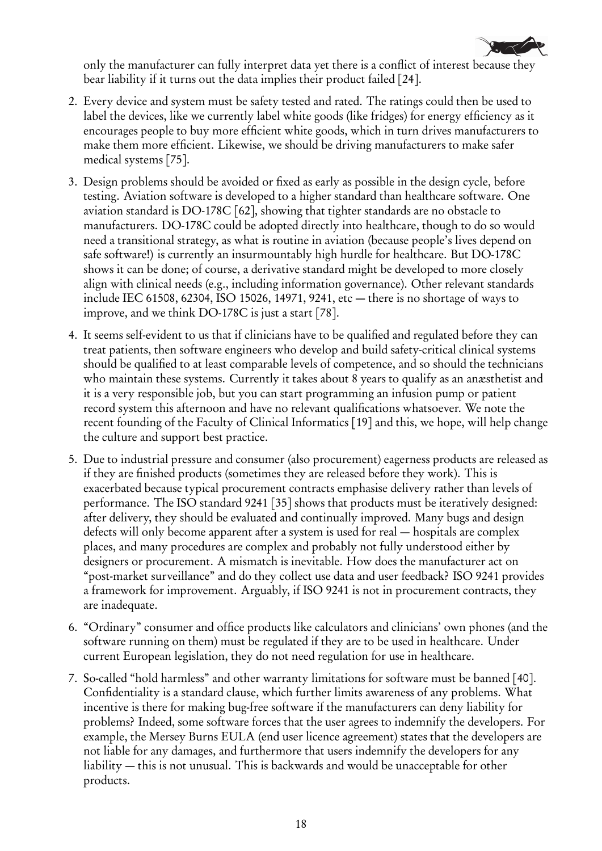

only the manufacturer can fully interpret data yet there is a conflict of interest because they bear liability if it turns out the data implies their product failed [24].

- 2. Every device and system must be safety tested and rated. The ratings could then be used to label the devices, like we currently label white goods (like fridges) for energy efficiency as it encourages people to buy more efficient white goods, which in turn drives manufacturers to make them more efficient. Likewise, we should be driving manufacturers to make safer medical systems [75].
- 3. Design problems should be avoided or fixed as early as possible in the design cycle, before testing. Aviation software is developed to a higher standard than healthcare software. One aviation standard is DO-178C [62], showing that tighter standards are no obstacle to manufacturers. DO-178C could be adopted directly into healthcare, though to do so would need a transitional strategy, as what is routine in aviation (because people's lives depend on safe software!) is currently an insurmountably high hurdle for healthcare. But DO-178C shows it can be done; of course, a derivative standard might be developed to more closely align with clinical needs (e.g., including information governance). Other relevant standards include IEC 61508, 62304, ISO 15026, 14971, 9241, etc — there is no shortage of ways to improve, and we think DO-178C is just a start [78].
- 4. It seems self-evident to us that if clinicians have to be qualified and regulated before they can treat patients, then software engineers who develop and build safety-critical clinical systems should be qualified to at least comparable levels of competence, and so should the technicians who maintain these systems. Currently it takes about 8 years to qualify as an anæsthetist and it is a very responsible job, but you can start programming an infusion pump or patient record system this afternoon and have no relevant qualifications whatsoever. We note the recent founding of the Faculty of Clinical Informatics [19] and this, we hope, will help change the culture and support best practice.
- 5. Due to industrial pressure and consumer (also procurement) eagerness products are released as if they are finished products (sometimes they are released before they work). This is exacerbated because typical procurement contracts emphasise delivery rather than levels of performance. The ISO standard 9241 [35] shows that products must be iteratively designed: after delivery, they should be evaluated and continually improved. Many bugs and design defects will only become apparent after a system is used for real — hospitals are complex places, and many procedures are complex and probably not fully understood either by designers or procurement. A mismatch is inevitable. How does the manufacturer act on "post-market surveillance" and do they collect use data and user feedback? ISO 9241 provides a framework for improvement. Arguably, if ISO 9241 is not in procurement contracts, they are inadequate.
- 6. "Ordinary" consumer and office products like calculators and clinicians' own phones (and the software running on them) must be regulated if they are to be used in healthcare. Under current European legislation, they do not need regulation for use in healthcare.
- 7. So-called "hold harmless" and other warranty limitations for software must be banned [40]. Confidentiality is a standard clause, which further limits awareness of any problems. What incentive is there for making bug-free software if the manufacturers can deny liability for problems? Indeed, some software forces that the user agrees to indemnify the developers. For example, the Mersey Burns EULA (end user licence agreement) states that the developers are not liable for any damages, and furthermore that users indemnify the developers for any liability — this is not unusual. This is backwards and would be unacceptable for other products.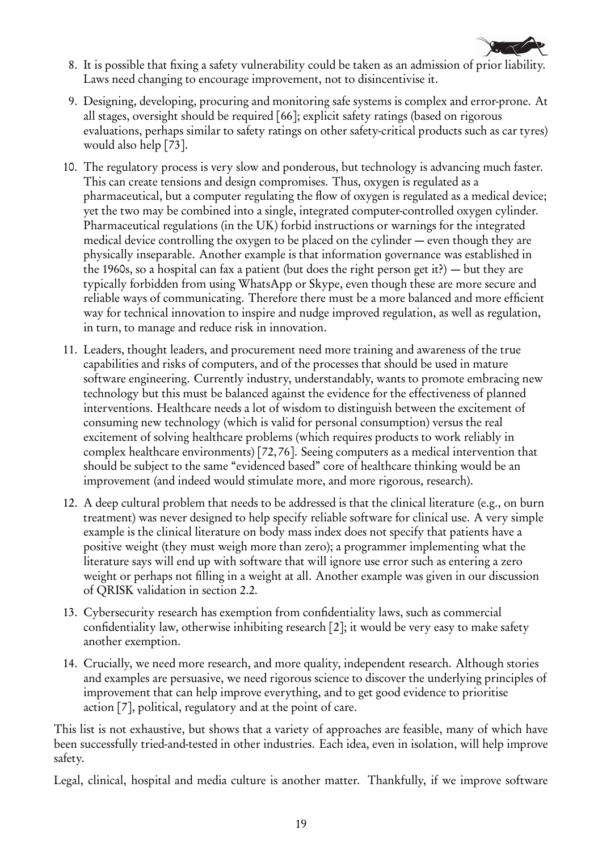

- 8. It is possible that fixing a safety vulnerability could be taken as an admission of prior liability. Laws need changing to encourage improvement, not to disincentivise it.
- 9. Designing, developing, procuring and monitoring safe systems is complex and error-prone. At all stages, oversight should be required [66]; explicit safety ratings (based on rigorous evaluations, perhaps similar to safety ratings on other safety-critical products such as car tyres) would also help [73].
- 10. The regulatory process is very slow and ponderous, but technology is advancing much faster. This can create tensions and design compromises. Thus, oxygen is regulated as a pharmaceutical, but a computer regulating the flow of oxygen is regulated as a medical device; yet the two may be combined into a single, integrated computer-controlled oxygen cylinder. Pharmaceutical regulations (in the UK) forbid instructions or warnings for the integrated medical device controlling the oxygen to be placed on the cylinder — even though they are physically inseparable. Another example is that information governance was established in the 1960s, so a hospital can fax a patient (but does the right person get it?) — but they are typically forbidden from using WhatsApp or Skype, even though these are more secure and reliable ways of communicating. Therefore there must be a more balanced and more efficient way for technical innovation to inspire and nudge improved regulation, as well as regulation, in turn, to manage and reduce risk in innovation.
- 11. Leaders, thought leaders, and procurement need more training and awareness of the true capabilities and risks of computers, and of the processes that should be used in mature software engineering. Currently industry, understandably, wants to promote embracing new technology but this must be balanced against the evidence for the effectiveness of planned interventions. Healthcare needs a lot of wisdom to distinguish between the excitement of consuming new technology (which is valid for personal consumption) versus the real excitement of solving healthcare problems (which requires products to work reliably in complex healthcare environments) [72, 76]. Seeing computers as a medical intervention that should be subject to the same "evidenced based" core of healthcare thinking would be an improvement (and indeed would stimulate more, and more rigorous, research).
- 12. A deep cultural problem that needs to be addressed is that the clinical literature (e.g., on burn treatment) was never designed to help specify reliable software for clinical use. A very simple example is the clinical literature on body mass index does not specify that patients have a positive weight (they must weigh more than zero); a programmer implementing what the literature says will end up with software that will ignore use error such as entering a zero weight or perhaps not filling in a weight at all. Another example was given in our discussion of QRISK validation in section 2.2.
- 13. Cybersecurity research has exemption from confidentiality laws, such as commercial confidentiality law, otherwise inhibiting research [2]; it would be very easy to make safety another exemption.
- 14. Crucially, we need more research, and more quality, independent research. Although stories and examples are persuasive, we need rigorous science to discover the underlying principles of improvement that can help improve everything, and to get good evidence to prioritise action [7], political, regulatory and at the point of care.

This list is not exhaustive, but shows that a variety of approaches are feasible, many of which have been successfully tried-and-tested in other industries. Each idea, even in isolation, will help improve safety.

Legal, clinical, hospital and media culture is another matter. Thankfully, if we improve software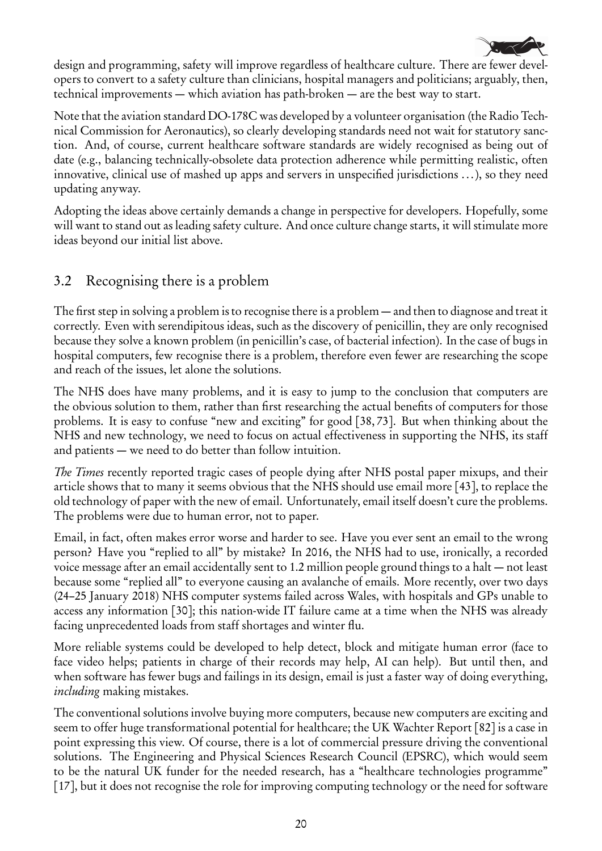

design and programming, safety will improve regardless of healthcare culture. There are fewer developers to convert to a safety culture than clinicians, hospital managers and politicians; arguably, then, technical improvements — which aviation has path-broken — are the best way to start.

Note that the aviation standard DO-178C was developed by a volunteer organisation (the Radio Technical Commission for Aeronautics), so clearly developing standards need not wait for statutory sanction. And, of course, current healthcare software standards are widely recognised as being out of date (e.g., balancing technically-obsolete data protection adherence while permitting realistic, often innovative, clinical use of mashed up apps and servers in unspecified jurisdictions ...), so they need updating anyway.

Adopting the ideas above certainly demands a change in perspective for developers. Hopefully, some will want to stand out as leading safety culture. And once culture change starts, it will stimulate more ideas beyond our initial list above.

# 3.2 Recognising there is a problem

The first step in solving a problem is to recognise there is a problem — and then to diagnose and treat it correctly. Even with serendipitous ideas, such as the discovery of penicillin, they are only recognised because they solve a known problem (in penicillin's case, of bacterial infection). In the case of bugs in hospital computers, few recognise there is a problem, therefore even fewer are researching the scope and reach of the issues, let alone the solutions.

The NHS does have many problems, and it is easy to jump to the conclusion that computers are the obvious solution to them, rather than first researching the actual benefits of computers for those problems. It is easy to confuse "new and exciting" for good [38, 73]. But when thinking about the NHS and new technology, we need to focus on actual effectiveness in supporting the NHS, its staff and patients — we need to do better than follow intuition.

The Times recently reported tragic cases of people dying after NHS postal paper mixups, and their article shows that to many it seems obvious that the NHS should use email more [43], to replace the old technology of paper with the new of email. Unfortunately, email itself doesn't cure the problems. The problems were due to human error, not to paper.

Email, in fact, often makes error worse and harder to see. Have you ever sent an email to the wrong person? Have you "replied to all" by mistake? In 2016, the NHS had to use, ironically, a recorded voice message after an email accidentally sent to 1.2 million people ground things to a halt — not least because some "replied all" to everyone causing an avalanche of emails. More recently, over two days (24–25 January 2018) NHS computer systems failed across Wales, with hospitals and GPs unable to access any information [30]; this nation-wide IT failure came at a time when the NHS was already facing unprecedented loads from staff shortages and winter flu.

More reliable systems could be developed to help detect, block and mitigate human error (face to face video helps; patients in charge of their records may help, AI can help). But until then, and when software has fewer bugs and failings in its design, email is just a faster way of doing everything, including making mistakes.

The conventional solutions involve buying more computers, because new computers are exciting and seem to offer huge transformational potential for healthcare; the UK Wachter Report [82] is a case in point expressing this view. Of course, there is a lot of commercial pressure driving the conventional solutions. The Engineering and Physical Sciences Research Council (EPSRC), which would seem to be the natural UK funder for the needed research, has a "healthcare technologies programme" [17], but it does not recognise the role for improving computing technology or the need for software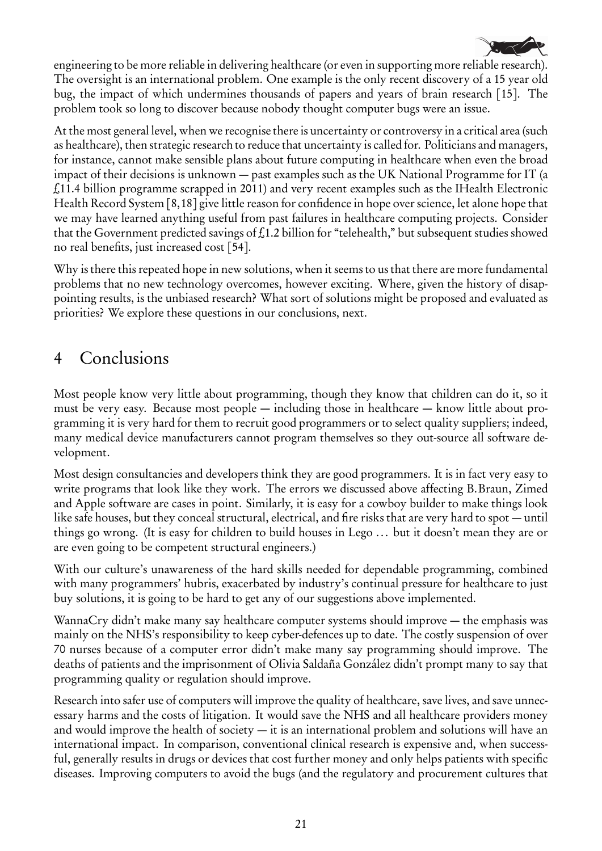

engineering to be more reliable in delivering healthcare (or even in supporting more reliable research). The oversight is an international problem. One example is the only recent discovery of a 15 year old bug, the impact of which undermines thousands of papers and years of brain research [15]. The problem took so long to discover because nobody thought computer bugs were an issue.

At the most general level, when we recognise there is uncertainty or controversy in a critical area (such as healthcare), then strategic research to reduce that uncertainty is called for. Politicians and managers, for instance, cannot make sensible plans about future computing in healthcare when even the broad impact of their decisions is unknown — past examples such as the UK National Programme for IT (a £11.4 billion programme scrapped in 2011) and very recent examples such as the IHealth Electronic Health Record System [8,18] give little reason for confidence in hope over science, let alone hope that we may have learned anything useful from past failures in healthcare computing projects. Consider that the Government predicted savings of £1.2 billion for "telehealth," but subsequent studies showed no real benefits, just increased cost [54].

Why is there this repeated hope in new solutions, when it seems to us that there are more fundamental problems that no new technology overcomes, however exciting. Where, given the history of disappointing results, is the unbiased research? What sort of solutions might be proposed and evaluated as priorities? We explore these questions in our conclusions, next.

# 4 Conclusions

Most people know very little about programming, though they know that children can do it, so it must be very easy. Because most people — including those in healthcare — know little about programming it is very hard for them to recruit good programmers or to select quality suppliers; indeed, many medical device manufacturers cannot program themselves so they out-source all software development.

Most design consultancies and developers think they are good programmers. It is in fact very easy to write programs that look like they work. The errors we discussed above affecting B.Braun, Zimed and Apple software are cases in point. Similarly, it is easy for a cowboy builder to make things look like safe houses, but they conceal structural, electrical, and fire risks that are very hard to spot — until things go wrong. (It is easy for children to build houses in Lego ... but it doesn't mean they are or are even going to be competent structural engineers.)

With our culture's unawareness of the hard skills needed for dependable programming, combined with many programmers' hubris, exacerbated by industry's continual pressure for healthcare to just buy solutions, it is going to be hard to get any of our suggestions above implemented.

WannaCry didn't make many say healthcare computer systems should improve — the emphasis was mainly on the NHS's responsibility to keep cyber-defences up to date. The costly suspension of over 70 nurses because of a computer error didn't make many say programming should improve. The deaths of patients and the imprisonment of Olivia Saldaña González didn't prompt many to say that programming quality or regulation should improve.

Research into safer use of computers will improve the quality of healthcare, save lives, and save unnecessary harms and the costs of litigation. It would save the NHS and all healthcare providers money and would improve the health of society — it is an international problem and solutions will have an international impact. In comparison, conventional clinical research is expensive and, when successful, generally results in drugs or devices that cost further money and only helps patients with specific diseases. Improving computers to avoid the bugs (and the regulatory and procurement cultures that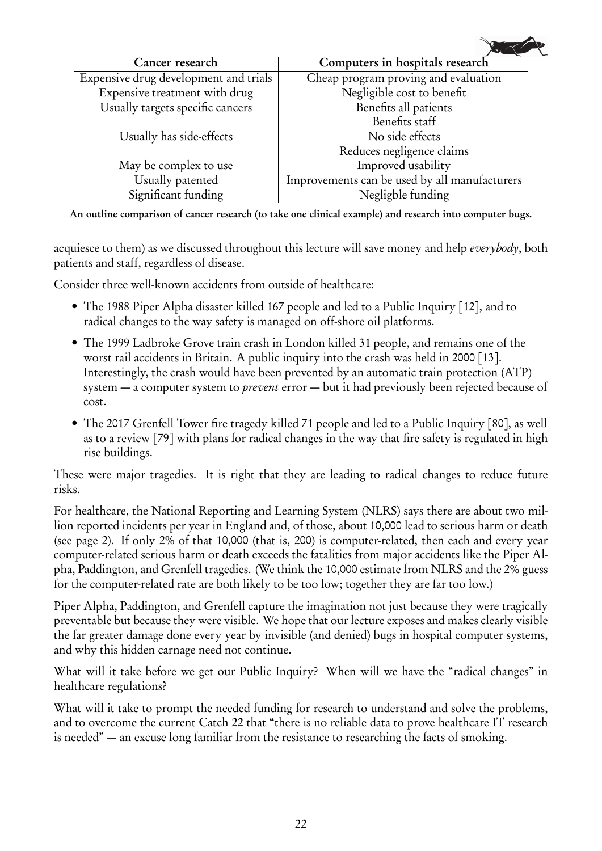| Computers in hospitals research               |
|-----------------------------------------------|
| Cheap program proving and evaluation          |
| Negligible cost to benefit                    |
| Benefits all patients                         |
| Benefits staff                                |
| No side effects                               |
| Reduces negligence claims                     |
| Improved usability                            |
| Improvements can be used by all manufacturers |
| Negligble funding                             |
|                                               |

 $\sqrt{2}$ 

An outline comparison of cancer research (to take one clinical example) and research into computer bugs.

acquiesce to them) as we discussed throughout this lecture will save money and help everybody, both patients and staff, regardless of disease.

Consider three well-known accidents from outside of healthcare:

- The 1988 Piper Alpha disaster killed 167 people and led to a Public Inquiry [12], and to radical changes to the way safety is managed on off-shore oil platforms.
- The 1999 Ladbroke Grove train crash in London killed 31 people, and remains one of the worst rail accidents in Britain. A public inquiry into the crash was held in 2000 [13]. Interestingly, the crash would have been prevented by an automatic train protection (ATP) system — a computer system to *prevent* error — but it had previously been rejected because of cost.
- The 2017 Grenfell Tower fire tragedy killed 71 people and led to a Public Inquiry [80], as well as to a review [79] with plans for radical changes in the way that fire safety is regulated in high rise buildings.

These were major tragedies. It is right that they are leading to radical changes to reduce future risks.

For healthcare, the National Reporting and Learning System (NLRS) says there are about two million reported incidents per year in England and, of those, about 10,000 lead to serious harm or death (see page 2). If only 2% of that 10,000 (that is, 200) is computer-related, then each and every year computer-related serious harm or death exceeds the fatalities from major accidents like the Piper Alpha, Paddington, and Grenfell tragedies. (We think the 10,000 estimate from NLRS and the 2% guess for the computer-related rate are both likely to be too low; together they are far too low.)

Piper Alpha, Paddington, and Grenfell capture the imagination not just because they were tragically preventable but because they were visible. We hope that our lecture exposes and makes clearly visible the far greater damage done every year by invisible (and denied) bugs in hospital computer systems, and why this hidden carnage need not continue.

What will it take before we get our Public Inquiry? When will we have the "radical changes" in healthcare regulations?

What will it take to prompt the needed funding for research to understand and solve the problems, and to overcome the current Catch 22 that "there is no reliable data to prove healthcare IT research is needed" — an excuse long familiar from the resistance to researching the facts of smoking.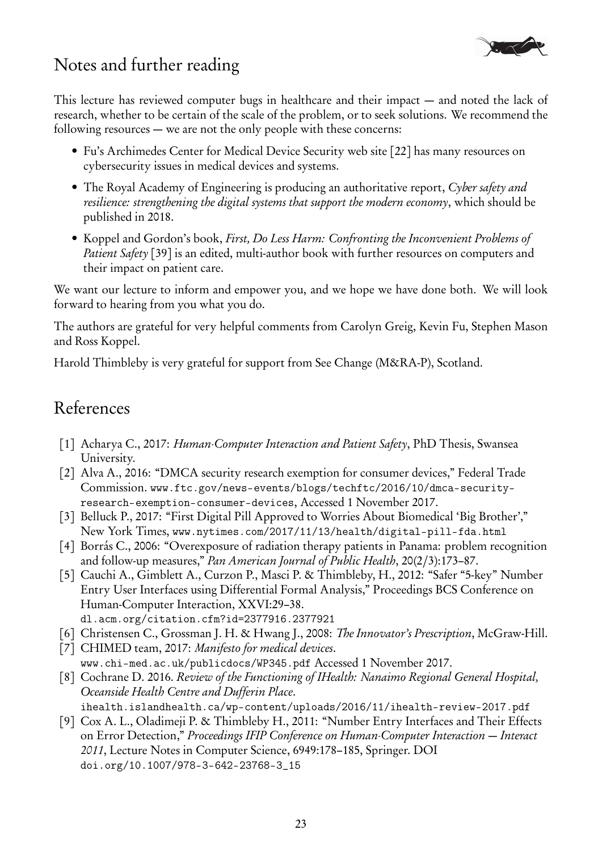

# Notes and further reading

This lecture has reviewed computer bugs in healthcare and their impact — and noted the lack of research, whether to be certain of the scale of the problem, or to seek solutions. We recommend the following resources — we are not the only people with these concerns:

- Fu's Archimedes Center for Medical Device Security web site [22] has many resources on cybersecurity issues in medical devices and systems.
- The Royal Academy of Engineering is producing an authoritative report, Cyber safety and resilience: strengthening the digital systems that support the modern economy, which should be published in 2018.
- Koppel and Gordon's book, First, Do Less Harm: Confronting the Inconvenient Problems of Patient Safety [39] is an edited, multi-author book with further resources on computers and their impact on patient care.

We want our lecture to inform and empower you, and we hope we have done both. We will look forward to hearing from you what you do.

The authors are grateful for very helpful comments from Carolyn Greig, Kevin Fu, Stephen Mason and Ross Koppel.

Harold Thimbleby is very grateful for support from See Change (M&RA-P), Scotland.

# References

- [1] Acharya C., 2017: Human-Computer Interaction and Patient Safety, PhD Thesis, Swansea University.
- [2] Alva A., 2016: "DMCA security research exemption for consumer devices," Federal Trade Commission. www.ftc.gov/news-events/blogs/techftc/2016/10/dmca-securityresearch-exemption-consumer-devices, Accessed 1 November 2017.
- [3] Belluck P., 2017: "First Digital Pill Approved to Worries About Biomedical 'Big Brother'," New York Times, www.nytimes.com/2017/11/13/health/digital-pill-fda.html
- [4] Borrás C., 2006: "Overexposure of radiation therapy patients in Panama: problem recognition and follow-up measures," Pan American Journal of Public Health, 20(2/3):173–87.
- [5] Cauchi A., Gimblett A., Curzon P., Masci P. & Thimbleby, H., 2012: "Safer "5-key" Number Entry User Interfaces using Differential Formal Analysis," Proceedings BCS Conference on Human-Computer Interaction, XXVI:29–38.
- dl.acm.org/citation.cfm?id=2377916.2377921
- [6] Christensen C., Grossman J. H. & Hwang J., 2008: The Innovator's Prescription, McGraw-Hill.
- [7] CHIMED team, 2017: Manifesto for medical devices.
- www.chi-med.ac.uk/publicdocs/WP345.pdf Accessed 1 November 2017.
- [8] Cochrane D. 2016. Review of the Functioning of IHealth: Nanaimo Regional General Hospital, Oceanside Health Centre and Dufferin Place.
- ihealth.islandhealth.ca/wp-content/uploads/2016/11/ihealth-review-2017.pdf [9] Cox A. L., Oladimeji P. & Thimbleby H., 2011: "Number Entry Interfaces and Their Effects on Error Detection," Proceedings IFIP Conference on Human-Computer Interaction — Interact 2011, Lecture Notes in Computer Science, 6949:178–185, Springer. DOI doi.org/10.1007/978-3-642-23768-3\_15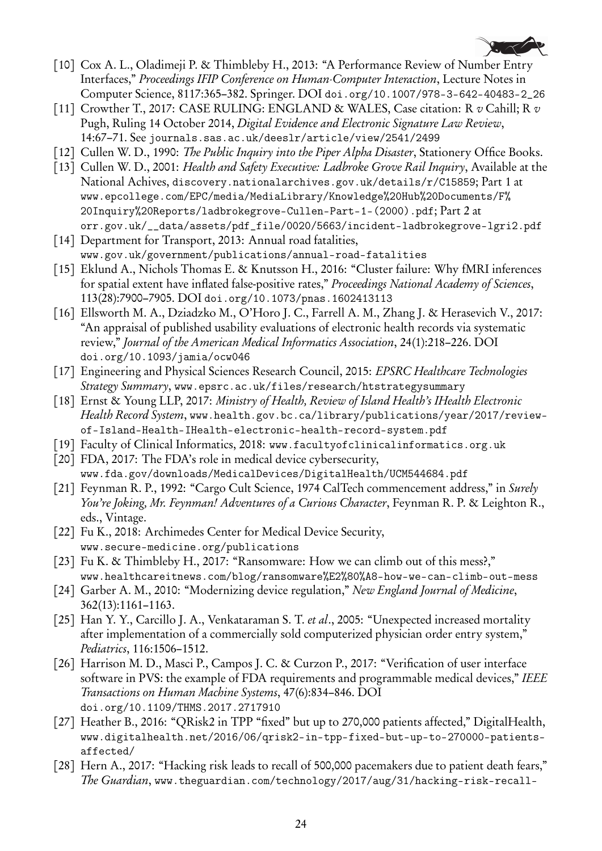

- [10] Cox A. L., Oladimeji P. & Thimbleby H., 2013: "A Performance Review of Number Entry Interfaces," Proceedings IFIP Conference on Human-Computer Interaction, Lecture Notes in Computer Science, 8117:365–382. Springer. DOI doi.org/10.1007/978-3-642-40483-2\_26
- [11] Crowther T., 2017: CASE RULING: ENGLAND & WALES, Case citation: R  $v$  Cahill; R  $v$ Pugh, Ruling 14 October 2014, Digital Evidence and Electronic Signature Law Review, 14:67–71. See journals.sas.ac.uk/deeslr/article/view/2541/2499
- [12] Cullen W. D., 1990: *The Public Inquiry into the Piper Alpha Disaster*, Stationery Office Books.
- [13] Cullen W. D., 2001: Health and Safety Executive: Ladbroke Grove Rail Inquiry, Available at the National Achives, discovery.nationalarchives.gov.uk/details/r/C15859; Part 1 at www.epcollege.com/EPC/media/MediaLibrary/Knowledge%20Hub%20Documents/F% 20Inquiry%20Reports/ladbrokegrove-Cullen-Part-1-(2000).pdf; Part 2 at orr.gov.uk/\_\_data/assets/pdf\_file/0020/5663/incident-ladbrokegrove-lgri2.pdf
- [14] Department for Transport, 2013: Annual road fatalities, www.gov.uk/government/publications/annual-road-fatalities
- [15] Eklund A., Nichols Thomas E. & Knutsson H., 2016: "Cluster failure: Why fMRI inferences for spatial extent have inflated false-positive rates," Proceedings National Academy of Sciences, 113(28):7900–7905. DOI doi.org/10.1073/pnas.1602413113
- [16] Ellsworth M. A., Dziadzko M., O'Horo J. C., Farrell A. M., Zhang J. & Herasevich V., 2017: "An appraisal of published usability evaluations of electronic health records via systematic review," Journal of the American Medical Informatics Association, 24(1):218–226. DOI doi.org/10.1093/jamia/ocw046
- [17] Engineering and Physical Sciences Research Council, 2015: EPSRC Healthcare Technologies Strategy Summary, www.epsrc.ac.uk/files/research/htstrategysummary
- [18] Ernst & Young LLP, 2017: Ministry of Health, Review of Island Health's IHealth Electronic Health Record System, www.health.gov.bc.ca/library/publications/year/2017/reviewof-Island-Health-IHealth-electronic-health-record-system.pdf
- [19] Faculty of Clinical Informatics, 2018: www.facultyofclinicalinformatics.org.uk
- [20] FDA, 2017: The FDA's role in medical device cybersecurity, www.fda.gov/downloads/MedicalDevices/DigitalHealth/UCM544684.pdf
- [21] Feynman R. P., 1992: "Cargo Cult Science, 1974 CalTech commencement address," in Surely You're Joking, Mr. Feynman! Adventures of a Curious Character, Feynman R. P. & Leighton R., eds., Vintage.
- [22] Fu K., 2018: Archimedes Center for Medical Device Security, www.secure-medicine.org/publications
- [23] Fu K. & Thimbleby H., 2017: "Ransomware: How we can climb out of this mess?," www.healthcareitnews.com/blog/ransomware%E2%80%A8-how-we-can-climb-out-mess
- [24] Garber A. M., 2010: "Modernizing device regulation," New England Journal of Medicine, 362(13):1161–1163.
- [25] Han Y. Y., Carcillo J. A., Venkataraman S. T. et al., 2005: "Unexpected increased mortality after implementation of a commercially sold computerized physician order entry system," Pediatrics, 116:1506–1512.
- [26] Harrison M. D., Masci P., Campos J. C. & Curzon P., 2017: "Verification of user interface software in PVS: the example of FDA requirements and programmable medical devices," IEEE Transactions on Human Machine Systems, 47(6):834–846. DOI doi.org/10.1109/THMS.2017.2717910
- [27] Heather B., 2016: "QRisk2 in TPP "fixed" but up to 270,000 patients affected," DigitalHealth, www.digitalhealth.net/2016/06/qrisk2-in-tpp-fixed-but-up-to-270000-patientsaffected/
- [28] Hern A., 2017: "Hacking risk leads to recall of 500,000 pacemakers due to patient death fears," The Guardian, www.theguardian.com/technology/2017/aug/31/hacking-risk-recall-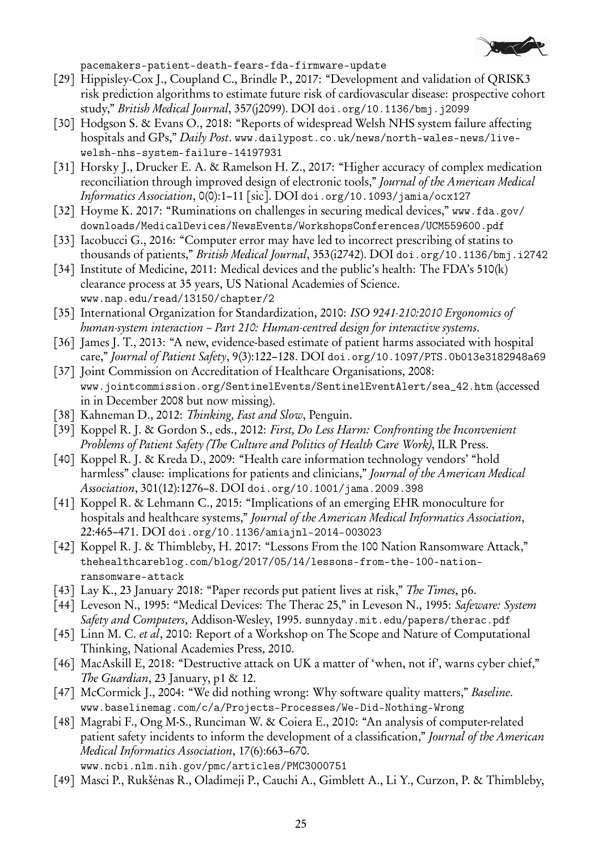

pacemakers-patient-death-fears-fda-firmware-update

- [29] Hippisley-Cox J., Coupland C., Brindle P., 2017: "Development and validation of QRISK3 risk prediction algorithms to estimate future risk of cardiovascular disease: prospective cohort study," British Medical Journal, 357(j2099). DOI doi.org/10.1136/bmj.j2099
- [30] Hodgson S. & Evans O., 2018: "Reports of widespread Welsh NHS system failure affecting hospitals and GPs," Daily Post. www.dailypost.co.uk/news/north-wales-news/livewelsh-nhs-system-failure-14197931
- [31] Horsky J., Drucker E. A. & Ramelson H. Z., 2017: "Higher accuracy of complex medication reconciliation through improved design of electronic tools," Journal of the American Medical Informatics Association, 0(0):1–11 [sic]. DOI doi.org/10.1093/jamia/ocx127
- [32] Hoyme K. 2017: "Ruminations on challenges in securing medical devices," www.fda.gov/ downloads/MedicalDevices/NewsEvents/WorkshopsConferences/UCM559600.pdf
- [33] Iacobucci G., 2016: "Computer error may have led to incorrect prescribing of statins to thousands of patients," British Medical Journal, 353(i2742). DOI doi.org/10.1136/bmj.i2742
- [34] Institute of Medicine, 2011: Medical devices and the public's health: The FDA's 510(k) clearance process at 35 years, US National Academies of Science. www.nap.edu/read/13150/chapter/2
- [35] International Organization for Standardization, 2010: ISO 9241-210:2010 Ergonomics of human-system interaction – Part 210: Human-centred design for interactive systems.
- [36] James J. T., 2013: "A new, evidence-based estimate of patient harms associated with hospital care," Journal of Patient Safety, 9(3):122-128. DOI doi.org/10.1097/PTS.0b013e3182948a69
- [37] Joint Commission on Accreditation of Healthcare Organisations, 2008: www.jointcommission.org/SentinelEvents/SentinelEventAlert/sea\_42.htm (accessed in in December 2008 but now missing).
- [38] Kahneman D., 2012: Thinking, Fast and Slow, Penguin.
- [39] Koppel R. J. & Gordon S., eds., 2012: First, Do Less Harm: Confronting the Inconvenient Problems of Patient Safety (The Culture and Politics of Health Care Work), ILR Press.
- [40] Koppel R. J. & Kreda D., 2009: "Health care information technology vendors' "hold harmless" clause: implications for patients and clinicians," *Journal of the American Medical* Association, 301(12):1276–8. DOI doi.org/10.1001/jama.2009.398
- [41] Koppel R. & Lehmann C., 2015: "Implications of an emerging EHR monoculture for hospitals and healthcare systems," Journal of the American Medical Informatics Association, 22:465–471. DOI doi.org/10.1136/amiajnl-2014-003023
- [42] Koppel R. J. & Thimbleby, H. 2017: "Lessons From the 100 Nation Ransomware Attack," thehealthcareblog.com/blog/2017/05/14/lessons-from-the-100-nationransomware-attack
- [43] Lay K., 23 January 2018: "Paper records put patient lives at risk," The Times, p6.
- [44] Leveson N., 1995: "Medical Devices: The Therac 25," in Leveson N., 1995: Safeware: System Safety and Computers, Addison-Wesley, 1995. sunnyday.mit.edu/papers/therac.pdf
- [45] Linn M. C. et al, 2010: Report of a Workshop on The Scope and Nature of Computational Thinking, National Academies Press, 2010.
- [46] MacAskill E, 2018: "Destructive attack on UK a matter of 'when, not if', warns cyber chief," The Guardian, 23 January, p1 & 12.
- [47] McCormick J., 2004: "We did nothing wrong: Why software quality matters," Baseline. www.baselinemag.com/c/a/Projects-Processes/We-Did-Nothing-Wrong
- [48] Magrabi F., Ong M-S., Runciman W. & Coiera E., 2010: "An analysis of computer-related patient safety incidents to inform the development of a classification," Journal of the American Medical Informatics Association, 17(6):663–670.

www.ncbi.nlm.nih.gov/pmc/articles/PMC3000751

[49] Masci P., Rukšėnas R., Oladimeji P., Cauchi A., Gimblett A., Li Y., Curzon, P. & Thimbleby,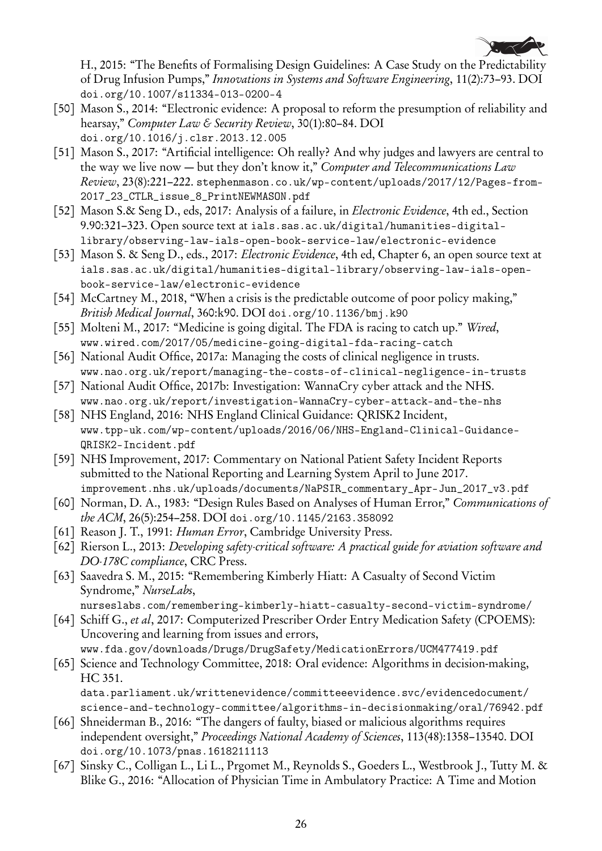

H., 2015: "The Benefits of Formalising Design Guidelines: A Case Study on the Predictability of Drug Infusion Pumps," Innovations in Systems and Software Engineering, 11(2):73–93. DOI doi.org/10.1007/s11334-013-0200-4

- [50] Mason S., 2014: "Electronic evidence: A proposal to reform the presumption of reliability and hearsay," Computer Law & Security Review, 30(1):80–84. DOI doi.org/10.1016/j.clsr.2013.12.005
- [51] Mason S., 2017: "Artificial intelligence: Oh really? And why judges and lawyers are central to the way we live now  $-$  but they don't know it," Computer and Telecommunications Law Review, 23(8):221–222. stephenmason.co.uk/wp-content/uploads/2017/12/Pages-from-2017\_23\_CTLR\_issue\_8\_PrintNEWMASON.pdf
- [52] Mason S.& Seng D., eds, 2017: Analysis of a failure, in *Electronic Evidence*, 4th ed., Section 9.90:321–323. Open source text at ials.sas.ac.uk/digital/humanities-digitallibrary/observing-law-ials-open-book-service-law/electronic-evidence
- [53] Mason S. & Seng D., eds., 2017: *Electronic Evidence*, 4th ed, Chapter 6, an open source text at ials.sas.ac.uk/digital/humanities-digital-library/observing-law-ials-openbook-service-law/electronic-evidence
- [54] McCartney M., 2018, "When a crisis is the predictable outcome of poor policy making," British Medical Journal, 360:k90. DOI doi.org/10.1136/bmj.k90
- [55] Molteni M., 2017: "Medicine is going digital. The FDA is racing to catch up." Wired, www.wired.com/2017/05/medicine-going-digital-fda-racing-catch
- [56] National Audit Office, 2017a: Managing the costs of clinical negligence in trusts. www.nao.org.uk/report/managing-the-costs-of-clinical-negligence-in-trusts
- [57] National Audit Office, 2017b: Investigation: WannaCry cyber attack and the NHS. www.nao.org.uk/report/investigation-WannaCry-cyber-attack-and-the-nhs
- [58] NHS England, 2016: NHS England Clinical Guidance: QRISK2 Incident, www.tpp-uk.com/wp-content/uploads/2016/06/NHS-England-Clinical-Guidance-QRISK2-Incident.pdf
- [59] NHS Improvement, 2017: Commentary on National Patient Safety Incident Reports submitted to the National Reporting and Learning System April to June 2017. improvement.nhs.uk/uploads/documents/NaPSIR\_commentary\_Apr-Jun\_2017\_v3.pdf
- [60] Norman, D. A., 1983: "Design Rules Based on Analyses of Human Error," Communications of the ACM, 26(5):254–258. DOI doi.org/10.1145/2163.358092
- [61] Reason J. T., 1991: *Human Error*, Cambridge University Press.
- [62] Rierson L., 2013: Developing safety-critical software: A practical guide for aviation software and DO-178C compliance, CRC Press.
- [63] Saavedra S. M., 2015: "Remembering Kimberly Hiatt: A Casualty of Second Victim Syndrome," NurseLabs,

nurseslabs.com/remembering-kimberly-hiatt-casualty-second-victim-syndrome/

- [64] Schiff G., et al, 2017: Computerized Prescriber Order Entry Medication Safety (CPOEMS): Uncovering and learning from issues and errors, www.fda.gov/downloads/Drugs/DrugSafety/MedicationErrors/UCM477419.pdf
- [65] Science and Technology Committee, 2018: Oral evidence: Algorithms in decision-making, HC 351. data.parliament.uk/writtenevidence/committeeevidence.svc/evidencedocument/

science-and-technology-committee/algorithms-in-decisionmaking/oral/76942.pdf [66] Shneiderman B., 2016: "The dangers of faulty, biased or malicious algorithms requires

- independent oversight," Proceedings National Academy of Sciences, 113(48):1358–13540. DOI doi.org/10.1073/pnas.1618211113
- [67] Sinsky C., Colligan L., Li L., Prgomet M., Reynolds S., Goeders L., Westbrook J., Tutty M. & Blike G., 2016: "Allocation of Physician Time in Ambulatory Practice: A Time and Motion